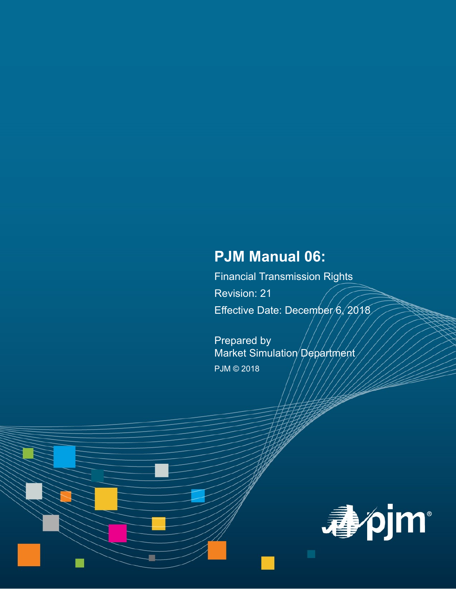# **PJM Manual 06:**

Financial Transmission Rights Revision: 21 Effective Date: December/6, 2018

Prepared by Market Simulation Department PJM © 2018

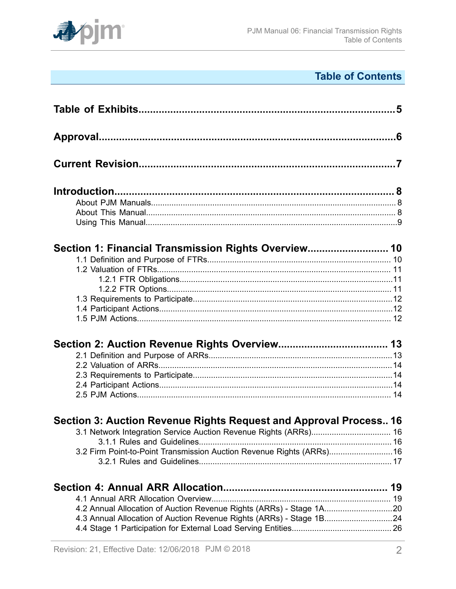

# **Table of Contents**

| Section 1: Financial Transmission Rights Overview 10                  |  |
|-----------------------------------------------------------------------|--|
|                                                                       |  |
|                                                                       |  |
|                                                                       |  |
|                                                                       |  |
|                                                                       |  |
|                                                                       |  |
|                                                                       |  |
|                                                                       |  |
|                                                                       |  |
|                                                                       |  |
|                                                                       |  |
|                                                                       |  |
|                                                                       |  |
| Section 3: Auction Revenue Rights Request and Approval Process 16     |  |
|                                                                       |  |
|                                                                       |  |
| 3.2 Firm Point-to-Point Transmission Auction Revenue Rights (ARRs) 16 |  |
|                                                                       |  |
|                                                                       |  |
|                                                                       |  |
| 4.2 Annual Allocation of Auction Revenue Rights (ARRs) - Stage 1A20   |  |
| 4.3 Annual Allocation of Auction Revenue Rights (ARRs) - Stage 1B24   |  |
|                                                                       |  |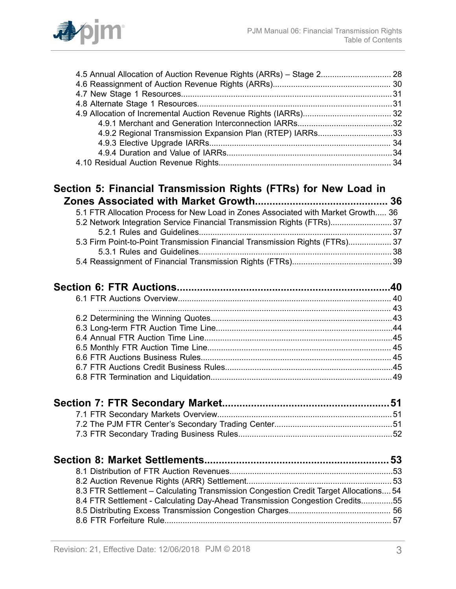

| 4.9.2 Regional Transmission Expansion Plan (RTEP) IARRs33 |  |
|-----------------------------------------------------------|--|
|                                                           |  |
|                                                           |  |
|                                                           |  |
|                                                           |  |

### **Section 5: Financial [Transmission](#page-35-0) Rights (FTRs) for New Load in [Zones Associated with Market Growth..............................................](#page-35-0) 36**

| 8.3 FTR Settlement – Calculating Transmission Congestion Credit Target Allocations 54 |  |
|---------------------------------------------------------------------------------------|--|
| 8.4 FTR Settlement - Calculating Day-Ahead Transmission Congestion Credits55          |  |
|                                                                                       |  |
|                                                                                       |  |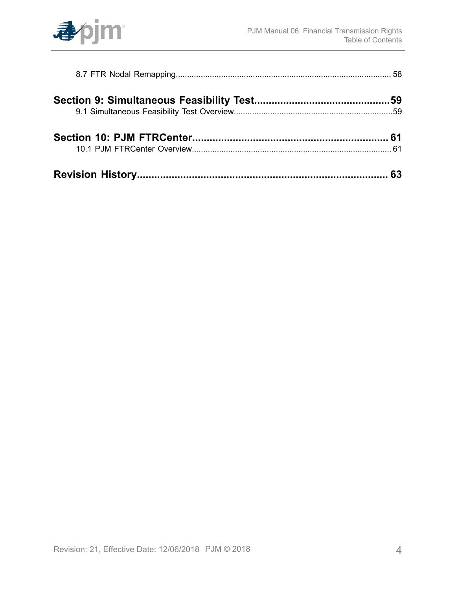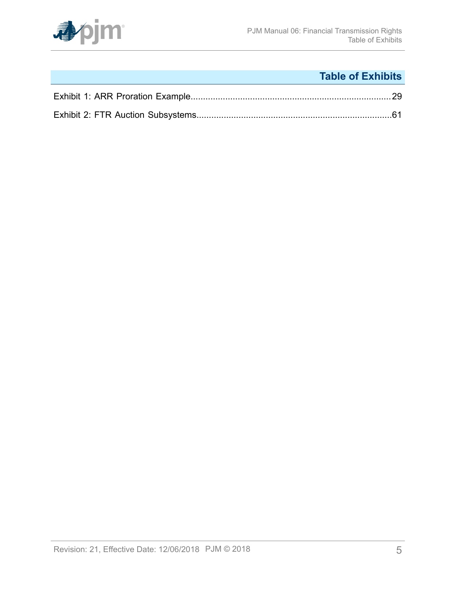

# **Table of Exhibits**

<span id="page-4-0"></span>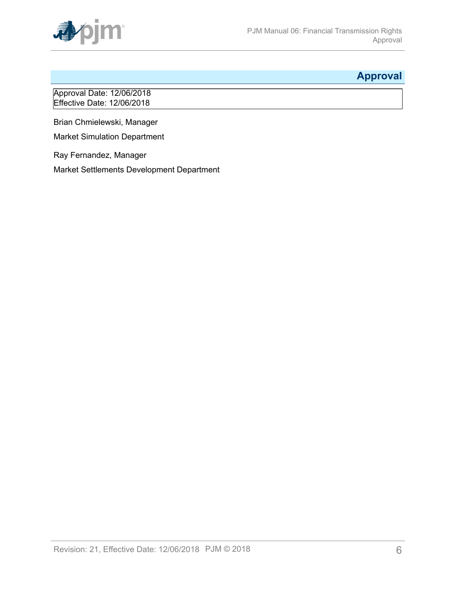

## <span id="page-5-0"></span>**Approval**

Approval Date: 12/06/2018 Effective Date: 12/06/2018

Brian Chmielewski, Manager

Market Simulation Department

Ray Fernandez, Manager Market Settlements Development Department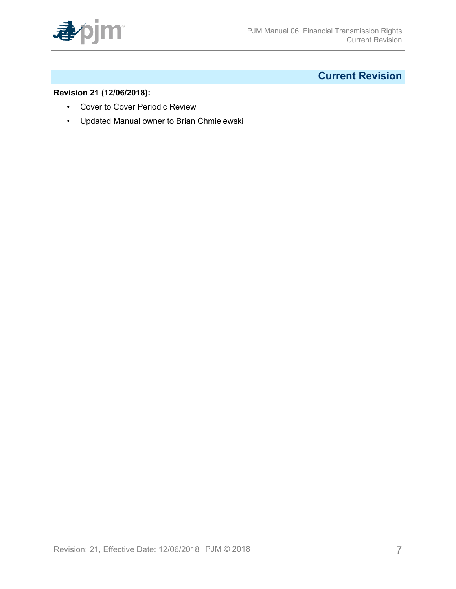

# <span id="page-6-0"></span>**Current Revision**

### **Revision 21 (12/06/2018):**

- Cover to Cover Periodic Review
- Updated Manual owner to Brian Chmielewski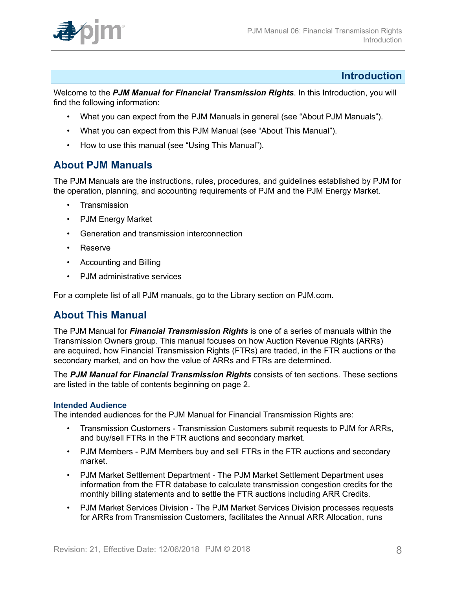

### <span id="page-7-0"></span>**Introduction**

Welcome to the *PJM Manual for Financial Transmission Rights*. In this Introduction, you will find the following information:

- What you can expect from the PJM Manuals in general (see "About PJM Manuals").
- What you can expect from this PJM Manual (see "About This Manual").
- How to use this manual (see "Using This Manual").

### <span id="page-7-1"></span>**About PJM Manuals**

The PJM Manuals are the instructions, rules, procedures, and guidelines established by PJM for the operation, planning, and accounting requirements of PJM and the PJM Energy Market.

- **Transmission**
- PJM Energy Market
- Generation and transmission interconnection
- Reserve
- Accounting and Billing
- PJM administrative services

For a complete list of all PJM manuals, go to the Library section on PJM.com.

### <span id="page-7-2"></span>**About This Manual**

The PJM Manual for *Financial Transmission Rights* is one of a series of manuals within the Transmission Owners group. This manual focuses on how Auction Revenue Rights (ARRs) are acquired, how Financial Transmission Rights (FTRs) are traded, in the FTR auctions or the secondary market, and on how the value of ARRs and FTRs are determined.

The *PJM Manual for Financial Transmission Rights* consists of ten sections. These sections are listed in the table of contents beginning on page 2.

#### **Intended Audience**

The intended audiences for the PJM Manual for Financial Transmission Rights are:

- Transmission Customers Transmission Customers submit requests to PJM for ARRs, and buy/sell FTRs in the FTR auctions and secondary market.
- PJM Members PJM Members buy and sell FTRs in the FTR auctions and secondary market.
- PJM Market Settlement Department The PJM Market Settlement Department uses information from the FTR database to calculate transmission congestion credits for the monthly billing statements and to settle the FTR auctions including ARR Credits.
- PJM Market Services Division The PJM Market Services Division processes requests for ARRs from Transmission Customers, facilitates the Annual ARR Allocation, runs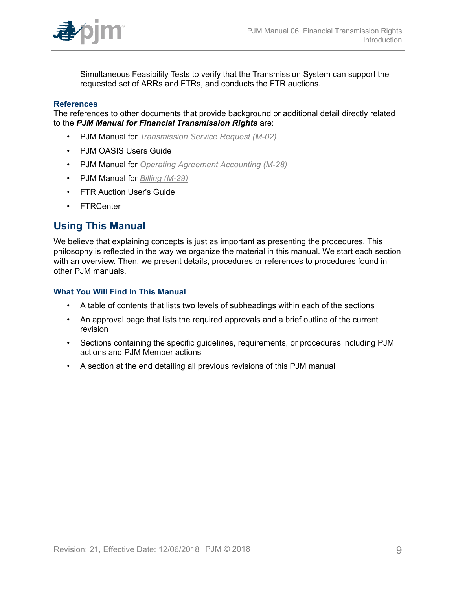

Simultaneous Feasibility Tests to verify that the Transmission System can support the requested set of ARRs and FTRs, and conducts the FTR auctions.

#### **References**

The references to other documents that provide background or additional detail directly related to the *PJM Manual for Financial Transmission Rights* are:

- PJM Manual for *[Transmission](http://www.pjm.com/~/media/documents/manuals/m02.ashx) Service Request (M-02)*
- PJM OASIS Users Guide
- PJM Manual for *[Operating Agreement Accounting \(M-28\)](http://www.pjm.com/~/media/documents/manuals/m28.ashx)*
- PJM Manual for *[Billing \(M-29\)](http://www.pjm.com/~/media/documents/manuals/m29.ashx)*
- FTR Auction User's Guide
- FTRCenter

### <span id="page-8-0"></span>**Using This Manual**

We believe that explaining concepts is just as important as presenting the procedures. This philosophy is reflected in the way we organize the material in this manual. We start each section with an overview. Then, we present details, procedures or references to procedures found in other PJM manuals.

#### **What You Will Find In This Manual**

- A table of contents that lists two levels of subheadings within each of the sections
- An approval page that lists the required approvals and a brief outline of the current revision
- Sections containing the specific guidelines, requirements, or procedures including PJM actions and PJM Member actions
- A section at the end detailing all previous revisions of this PJM manual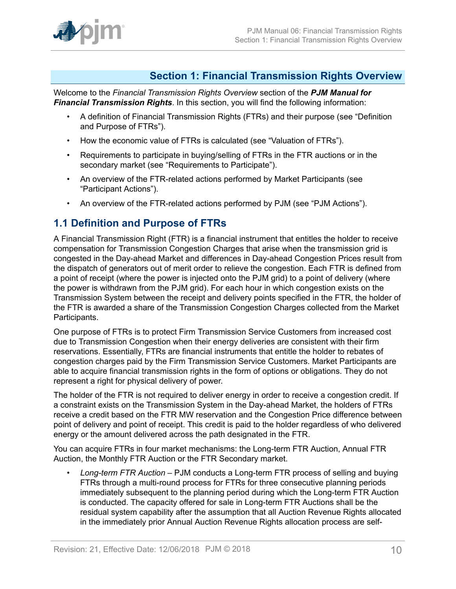

### <span id="page-9-0"></span>**Section 1: Financial Transmission Rights Overview**

Welcome to the *Financial Transmission Rights Overview* section of the *PJM Manual for Financial Transmission Rights*. In this section, you will find the following information:

- A definition of Financial Transmission Rights (FTRs) and their purpose (see "Definition and Purpose of FTRs").
- How the economic value of FTRs is calculated (see "Valuation of FTRs").
- Requirements to participate in buying/selling of FTRs in the FTR auctions or in the secondary market (see "Requirements to Participate").
- An overview of the FTR-related actions performed by Market Participants (see "Participant Actions").
- An overview of the FTR-related actions performed by PJM (see "PJM Actions").

### <span id="page-9-1"></span>**1.1 Definition and Purpose of FTRs**

A Financial Transmission Right (FTR) is a financial instrument that entitles the holder to receive compensation for Transmission Congestion Charges that arise when the transmission grid is congested in the Day-ahead Market and differences in Day-ahead Congestion Prices result from the dispatch of generators out of merit order to relieve the congestion. Each FTR is defined from a point of receipt (where the power is injected onto the PJM grid) to a point of delivery (where the power is withdrawn from the PJM grid). For each hour in which congestion exists on the Transmission System between the receipt and delivery points specified in the FTR, the holder of the FTR is awarded a share of the Transmission Congestion Charges collected from the Market Participants.

One purpose of FTRs is to protect Firm Transmission Service Customers from increased cost due to Transmission Congestion when their energy deliveries are consistent with their firm reservations. Essentially, FTRs are financial instruments that entitle the holder to rebates of congestion charges paid by the Firm Transmission Service Customers. Market Participants are able to acquire financial transmission rights in the form of options or obligations. They do not represent a right for physical delivery of power.

The holder of the FTR is not required to deliver energy in order to receive a congestion credit. If a constraint exists on the Transmission System in the Day-ahead Market, the holders of FTRs receive a credit based on the FTR MW reservation and the Congestion Price difference between point of delivery and point of receipt. This credit is paid to the holder regardless of who delivered energy or the amount delivered across the path designated in the FTR.

You can acquire FTRs in four market mechanisms: the Long-term FTR Auction, Annual FTR Auction, the Monthly FTR Auction or the FTR Secondary market.

• *Long-term FTR Auction* – PJM conducts a Long-term FTR process of selling and buying FTRs through a multi-round process for FTRs for three consecutive planning periods immediately subsequent to the planning period during which the Long-term FTR Auction is conducted. The capacity offered for sale in Long-term FTR Auctions shall be the residual system capability after the assumption that all Auction Revenue Rights allocated in the immediately prior Annual Auction Revenue Rights allocation process are self-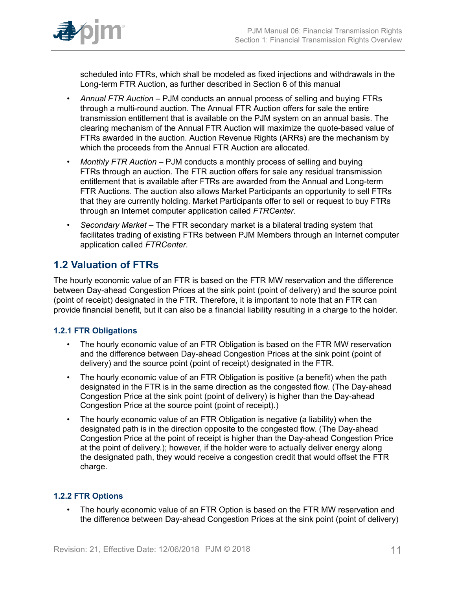

scheduled into FTRs, which shall be modeled as fixed injections and withdrawals in the Long-term FTR Auction, as further described in Section 6 of this manual

- *Annual FTR Auction –* PJM conducts an annual process of selling and buying FTRs through a multi-round auction. The Annual FTR Auction offers for sale the entire transmission entitlement that is available on the PJM system on an annual basis. The clearing mechanism of the Annual FTR Auction will maximize the quote-based value of FTRs awarded in the auction. Auction Revenue Rights (ARRs) are the mechanism by which the proceeds from the Annual FTR Auction are allocated.
- *Monthly FTR Auction –* PJM conducts a monthly process of selling and buying FTRs through an auction. The FTR auction offers for sale any residual transmission entitlement that is available after FTRs are awarded from the Annual and Long-term FTR Auctions. The auction also allows Market Participants an opportunity to sell FTRs that they are currently holding. Market Participants offer to sell or request to buy FTRs through an Internet computer application called *FTRCenter*.
- *Secondary Market –* The FTR secondary market is a bilateral trading system that facilitates trading of existing FTRs between PJM Members through an Internet computer application called *FTRCenter*.

## <span id="page-10-0"></span>**1.2 Valuation of FTRs**

The hourly economic value of an FTR is based on the FTR MW reservation and the difference between Day-ahead Congestion Prices at the sink point (point of delivery) and the source point (point of receipt) designated in the FTR. Therefore, it is important to note that an FTR can provide financial benefit, but it can also be a financial liability resulting in a charge to the holder.

### <span id="page-10-1"></span>**1.2.1 FTR Obligations**

- The hourly economic value of an FTR Obligation is based on the FTR MW reservation and the difference between Day-ahead Congestion Prices at the sink point (point of delivery) and the source point (point of receipt) designated in the FTR.
- The hourly economic value of an FTR Obligation is positive (a benefit) when the path designated in the FTR is in the same direction as the congested flow. (The Day-ahead Congestion Price at the sink point (point of delivery) is higher than the Day-ahead Congestion Price at the source point (point of receipt).)
- The hourly economic value of an FTR Obligation is negative (a liability) when the designated path is in the direction opposite to the congested flow. (The Day-ahead Congestion Price at the point of receipt is higher than the Day-ahead Congestion Price at the point of delivery.); however, if the holder were to actually deliver energy along the designated path, they would receive a congestion credit that would offset the FTR charge.

### <span id="page-10-2"></span>**1.2.2 FTR Options**

• The hourly economic value of an FTR Option is based on the FTR MW reservation and the difference between Day-ahead Congestion Prices at the sink point (point of delivery)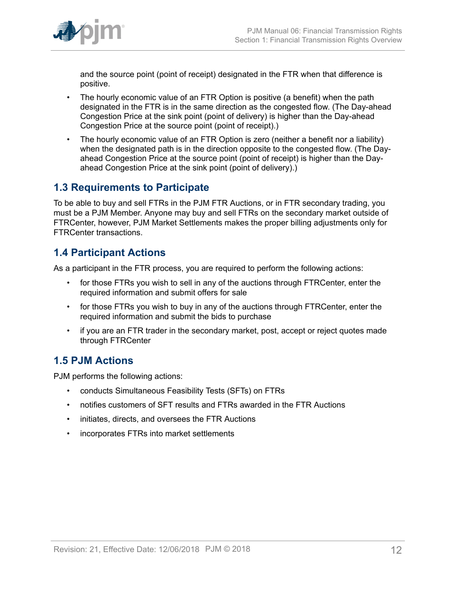

and the source point (point of receipt) designated in the FTR when that difference is positive.

- The hourly economic value of an FTR Option is positive (a benefit) when the path designated in the FTR is in the same direction as the congested flow. (The Day-ahead Congestion Price at the sink point (point of delivery) is higher than the Day-ahead Congestion Price at the source point (point of receipt).)
- The hourly economic value of an FTR Option is zero (neither a benefit nor a liability) when the designated path is in the direction opposite to the congested flow. (The Dayahead Congestion Price at the source point (point of receipt) is higher than the Dayahead Congestion Price at the sink point (point of delivery).)

## <span id="page-11-0"></span>**1.3 Requirements to Participate**

To be able to buy and sell FTRs in the PJM FTR Auctions, or in FTR secondary trading, you must be a PJM Member. Anyone may buy and sell FTRs on the secondary market outside of FTRCenter, however, PJM Market Settlements makes the proper billing adjustments only for FTRCenter transactions.

# <span id="page-11-1"></span>**1.4 Participant Actions**

As a participant in the FTR process, you are required to perform the following actions:

- for those FTRs you wish to sell in any of the auctions through FTRCenter, enter the required information and submit offers for sale
- for those FTRs you wish to buy in any of the auctions through FTRCenter, enter the required information and submit the bids to purchase
- if you are an FTR trader in the secondary market, post, accept or reject quotes made through FTRCenter

# <span id="page-11-2"></span>**1.5 PJM Actions**

PJM performs the following actions:

- conducts Simultaneous Feasibility Tests (SFTs) on FTRs
- notifies customers of SFT results and FTRs awarded in the FTR Auctions
- initiates, directs, and oversees the FTR Auctions
- incorporates FTRs into market settlements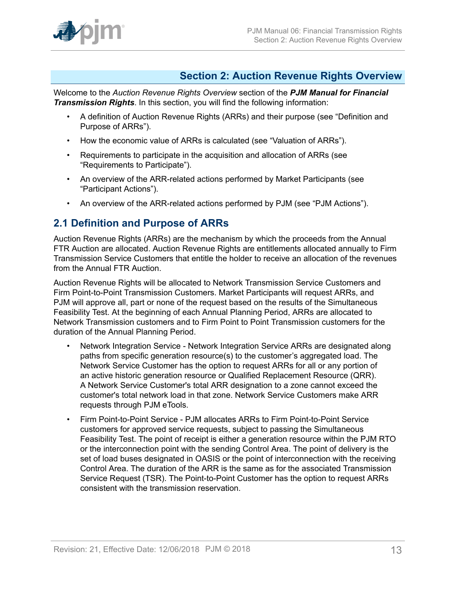

### <span id="page-12-0"></span>**Section 2: Auction Revenue Rights Overview**

Welcome to the *Auction Revenue Rights Overview* section of the *PJM Manual for Financial Transmission Rights*. In this section, you will find the following information:

- A definition of Auction Revenue Rights (ARRs) and their purpose (see "Definition and Purpose of ARRs").
- How the economic value of ARRs is calculated (see "Valuation of ARRs").
- Requirements to participate in the acquisition and allocation of ARRs (see "Requirements to Participate").
- An overview of the ARR-related actions performed by Market Participants (see "Participant Actions").
- An overview of the ARR-related actions performed by PJM (see "PJM Actions").

### <span id="page-12-1"></span>**2.1 Definition and Purpose of ARRs**

Auction Revenue Rights (ARRs) are the mechanism by which the proceeds from the Annual FTR Auction are allocated. Auction Revenue Rights are entitlements allocated annually to Firm Transmission Service Customers that entitle the holder to receive an allocation of the revenues from the Annual FTR Auction.

Auction Revenue Rights will be allocated to Network Transmission Service Customers and Firm Point-to-Point Transmission Customers. Market Participants will request ARRs, and PJM will approve all, part or none of the request based on the results of the Simultaneous Feasibility Test. At the beginning of each Annual Planning Period, ARRs are allocated to Network Transmission customers and to Firm Point to Point Transmission customers for the duration of the Annual Planning Period.

- Network Integration Service Network Integration Service ARRs are designated along paths from specific generation resource(s) to the customer's aggregated load. The Network Service Customer has the option to request ARRs for all or any portion of an active historic generation resource or Qualified Replacement Resource (QRR). A Network Service Customer's total ARR designation to a zone cannot exceed the customer's total network load in that zone. Network Service Customers make ARR requests through PJM eTools.
- Firm Point-to-Point Service PJM allocates ARRs to Firm Point-to-Point Service customers for approved service requests, subject to passing the Simultaneous Feasibility Test. The point of receipt is either a generation resource within the PJM RTO or the interconnection point with the sending Control Area. The point of delivery is the set of load buses designated in OASIS or the point of interconnection with the receiving Control Area. The duration of the ARR is the same as for the associated Transmission Service Request (TSR). The Point-to-Point Customer has the option to request ARRs consistent with the transmission reservation.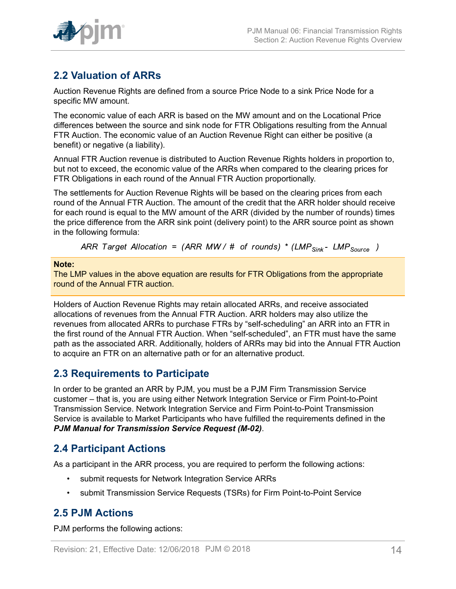

# <span id="page-13-0"></span>**2.2 Valuation of ARRs**

Auction Revenue Rights are defined from a source Price Node to a sink Price Node for a specific MW amount.

The economic value of each ARR is based on the MW amount and on the Locational Price differences between the source and sink node for FTR Obligations resulting from the Annual FTR Auction. The economic value of an Auction Revenue Right can either be positive (a benefit) or negative (a liability).

Annual FTR Auction revenue is distributed to Auction Revenue Rights holders in proportion to, but not to exceed, the economic value of the ARRs when compared to the clearing prices for FTR Obligations in each round of the Annual FTR Auction proportionally.

The settlements for Auction Revenue Rights will be based on the clearing prices from each round of the Annual FTR Auction. The amount of the credit that the ARR holder should receive for each round is equal to the MW amount of the ARR (divided by the number of rounds) times the price difference from the ARR sink point (delivery point) to the ARR source point as shown in the following formula:

ARR Target Allocation = (ARR MW/ # of rounds) \* (LMP<sub>Sink</sub> - LMP<sub>Source</sub>)

#### **Note:**

The LMP values in the above equation are results for FTR Obligations from the appropriate round of the Annual FTR auction.

Holders of Auction Revenue Rights may retain allocated ARRs, and receive associated allocations of revenues from the Annual FTR Auction. ARR holders may also utilize the revenues from allocated ARRs to purchase FTRs by "self-scheduling" an ARR into an FTR in the first round of the Annual FTR Auction. When "self-scheduled", an FTR must have the same path as the associated ARR. Additionally, holders of ARRs may bid into the Annual FTR Auction to acquire an FTR on an alternative path or for an alternative product.

### <span id="page-13-1"></span>**2.3 Requirements to Participate**

In order to be granted an ARR by PJM, you must be a PJM Firm Transmission Service customer – that is, you are using either Network Integration Service or Firm Point-to-Point Transmission Service. Network Integration Service and Firm Point-to-Point Transmission Service is available to Market Participants who have fulfilled the requirements defined in the *PJM Manual for Transmission Service Request (M-02)*.

# <span id="page-13-2"></span>**2.4 Participant Actions**

As a participant in the ARR process, you are required to perform the following actions:

- submit requests for Network Integration Service ARRs
- submit Transmission Service Requests (TSRs) for Firm Point-to-Point Service

# <span id="page-13-3"></span>**2.5 PJM Actions**

PJM performs the following actions: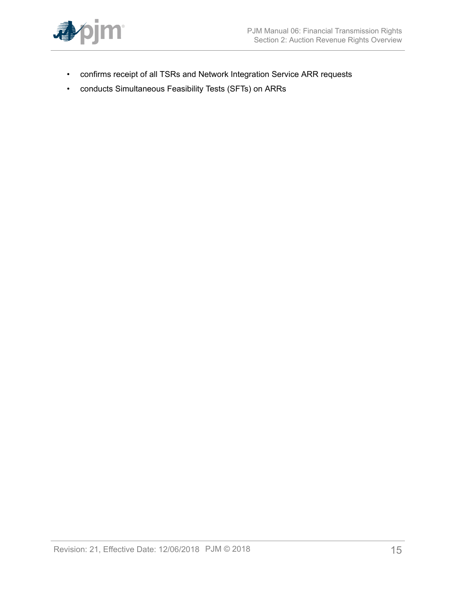

- confirms receipt of all TSRs and Network Integration Service ARR requests
- conducts Simultaneous Feasibility Tests (SFTs) on ARRs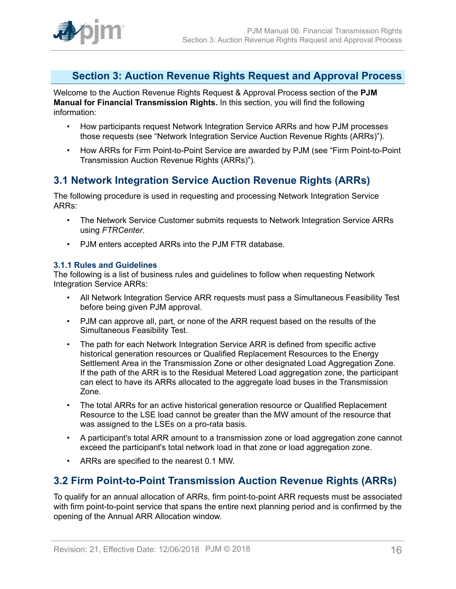

## <span id="page-15-0"></span>**Section 3: Auction Revenue Rights Request and Approval Process**

Welcome to the Auction Revenue Rights Request & Approval Process section of the **PJM Manual for Financial Transmission Rights.** In this section, you will find the following information:

- How participants request Network Integration Service ARRs and how PJM processes those requests (see "Network Integration Service Auction Revenue Rights (ARRs)").
- How ARRs for Firm Point-to-Point Service are awarded by PJM (see "Firm Point-to-Point Transmission Auction Revenue Rights (ARRs)").

## <span id="page-15-1"></span>**3.1 Network Integration Service Auction Revenue Rights (ARRs)**

The following procedure is used in requesting and processing Network Integration Service ARRs:

- The Network Service Customer submits requests to Network Integration Service ARRs using *FTRCenter*.
- PJM enters accepted ARRs into the PJM FTR database.

### <span id="page-15-2"></span>**3.1.1 Rules and Guidelines**

The following is a list of business rules and guidelines to follow when requesting Network Integration Service ARRs:

- All Network Integration Service ARR requests must pass a Simultaneous Feasibility Test before being given PJM approval.
- PJM can approve all, part, or none of the ARR request based on the results of the Simultaneous Feasibility Test.
- The path for each Network Integration Service ARR is defined from specific active historical generation resources or Qualified Replacement Resources to the Energy Settlement Area in the Transmission Zone or other designated Load Aggregation Zone. If the path of the ARR is to the Residual Metered Load aggregation zone, the participant can elect to have its ARRs allocated to the aggregate load buses in the Transmission Zone.
- The total ARRs for an active historical generation resource or Qualified Replacement Resource to the LSE load cannot be greater than the MW amount of the resource that was assigned to the LSEs on a pro-rata basis.
- A participant's total ARR amount to a transmission zone or load aggregation zone cannot exceed the participant's total network load in that zone or load aggregation zone.
- ARRs are specified to the nearest 0.1 MW.

# <span id="page-15-3"></span>**3.2 Firm Point-to-Point Transmission Auction Revenue Rights (ARRs)**

To qualify for an annual allocation of ARRs, firm point-to-point ARR requests must be associated with firm point-to-point service that spans the entire next planning period and is confirmed by the opening of the Annual ARR Allocation window.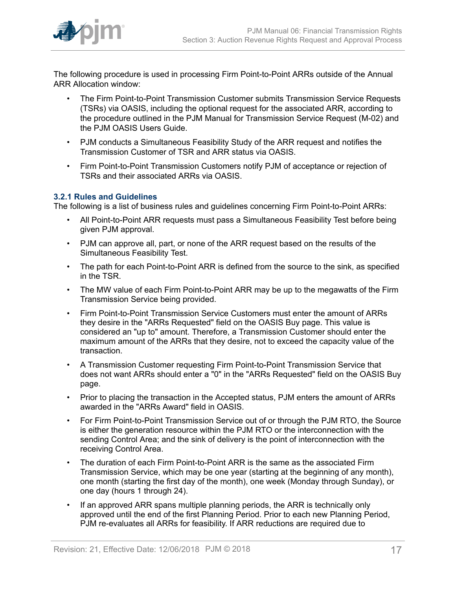

The following procedure is used in processing Firm Point-to-Point ARRs outside of the Annual ARR Allocation window:

- The Firm Point-to-Point Transmission Customer submits Transmission Service Requests (TSRs) via OASIS, including the optional request for the associated ARR, according to the procedure outlined in the PJM Manual for Transmission Service Request (M-02) and the PJM OASIS Users Guide.
- PJM conducts a Simultaneous Feasibility Study of the ARR request and notifies the Transmission Customer of TSR and ARR status via OASIS.
- Firm Point-to-Point Transmission Customers notify PJM of acceptance or rejection of TSRs and their associated ARRs via OASIS.

### <span id="page-16-0"></span>**3.2.1 Rules and Guidelines**

The following is a list of business rules and guidelines concerning Firm Point-to-Point ARRs:

- All Point-to-Point ARR requests must pass a Simultaneous Feasibility Test before being given PJM approval.
- PJM can approve all, part, or none of the ARR request based on the results of the Simultaneous Feasibility Test.
- The path for each Point-to-Point ARR is defined from the source to the sink, as specified in the TSR.
- The MW value of each Firm Point-to-Point ARR may be up to the megawatts of the Firm Transmission Service being provided.
- Firm Point-to-Point Transmission Service Customers must enter the amount of ARRs they desire in the "ARRs Requested" field on the OASIS Buy page. This value is considered an "up to" amount. Therefore, a Transmission Customer should enter the maximum amount of the ARRs that they desire, not to exceed the capacity value of the transaction.
- A Transmission Customer requesting Firm Point-to-Point Transmission Service that does not want ARRs should enter a "0" in the "ARRs Requested" field on the OASIS Buy page.
- Prior to placing the transaction in the Accepted status, PJM enters the amount of ARRs awarded in the "ARRs Award" field in OASIS.
- For Firm Point-to-Point Transmission Service out of or through the PJM RTO, the Source is either the generation resource within the PJM RTO or the interconnection with the sending Control Area; and the sink of delivery is the point of interconnection with the receiving Control Area.
- The duration of each Firm Point-to-Point ARR is the same as the associated Firm Transmission Service, which may be one year (starting at the beginning of any month), one month (starting the first day of the month), one week (Monday through Sunday), or one day (hours 1 through 24).
- If an approved ARR spans multiple planning periods, the ARR is technically only approved until the end of the first Planning Period. Prior to each new Planning Period, PJM re-evaluates all ARRs for feasibility. If ARR reductions are required due to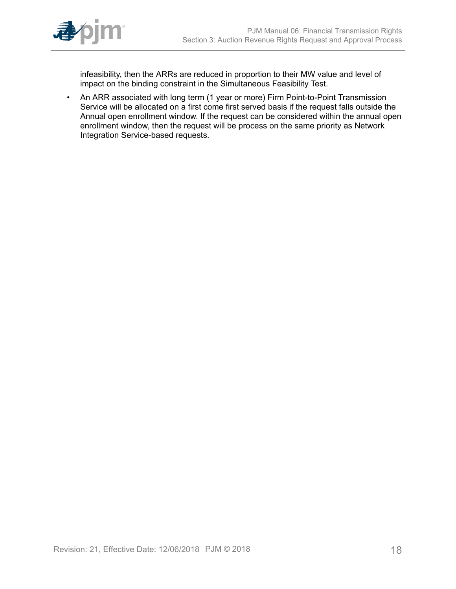

infeasibility, then the ARRs are reduced in proportion to their MW value and level of impact on the binding constraint in the Simultaneous Feasibility Test.

• An ARR associated with long term (1 year or more) Firm Point-to-Point Transmission Service will be allocated on a first come first served basis if the request falls outside the Annual open enrollment window. If the request can be considered within the annual open enrollment window, then the request will be process on the same priority as Network Integration Service-based requests.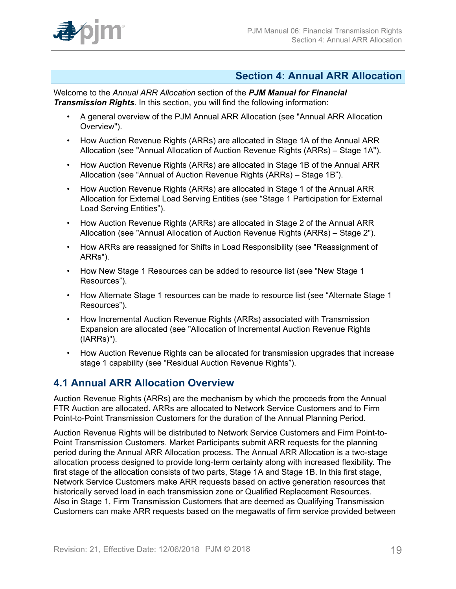

### <span id="page-18-0"></span>**Section 4: Annual ARR Allocation**

Welcome to the *Annual ARR Allocation* section of the *PJM Manual for Financial Transmission Rights*. In this section, you will find the following information:

- A general overview of the PJM Annual ARR Allocation (see "Annual ARR Allocation Overview").
- How Auction Revenue Rights (ARRs) are allocated in Stage 1A of the Annual ARR Allocation (see "Annual Allocation of Auction Revenue Rights (ARRs) – Stage 1A").
- How Auction Revenue Rights (ARRs) are allocated in Stage 1B of the Annual ARR Allocation (see "Annual of Auction Revenue Rights (ARRs) – Stage 1B").
- How Auction Revenue Rights (ARRs) are allocated in Stage 1 of the Annual ARR Allocation for External Load Serving Entities (see "Stage 1 Participation for External Load Serving Entities").
- How Auction Revenue Rights (ARRs) are allocated in Stage 2 of the Annual ARR Allocation (see "Annual Allocation of Auction Revenue Rights (ARRs) – Stage 2").
- How ARRs are reassigned for Shifts in Load Responsibility (see "Reassignment of ARRs").
- How New Stage 1 Resources can be added to resource list (see "New Stage 1 Resources").
- How Alternate Stage 1 resources can be made to resource list (see "Alternate Stage 1 Resources").
- How Incremental Auction Revenue Rights (ARRs) associated with Transmission Expansion are allocated (see "Allocation of Incremental Auction Revenue Rights (IARRs)").
- How Auction Revenue Rights can be allocated for transmission upgrades that increase stage 1 capability (see "Residual Auction Revenue Rights").

# <span id="page-18-1"></span>**4.1 Annual ARR Allocation Overview**

Auction Revenue Rights (ARRs) are the mechanism by which the proceeds from the Annual FTR Auction are allocated. ARRs are allocated to Network Service Customers and to Firm Point-to-Point Transmission Customers for the duration of the Annual Planning Period.

Auction Revenue Rights will be distributed to Network Service Customers and Firm Point-to-Point Transmission Customers. Market Participants submit ARR requests for the planning period during the Annual ARR Allocation process. The Annual ARR Allocation is a two-stage allocation process designed to provide long-term certainty along with increased flexibility. The first stage of the allocation consists of two parts, Stage 1A and Stage 1B. In this first stage, Network Service Customers make ARR requests based on active generation resources that historically served load in each transmission zone or Qualified Replacement Resources. Also in Stage 1, Firm Transmission Customers that are deemed as Qualifying Transmission Customers can make ARR requests based on the megawatts of firm service provided between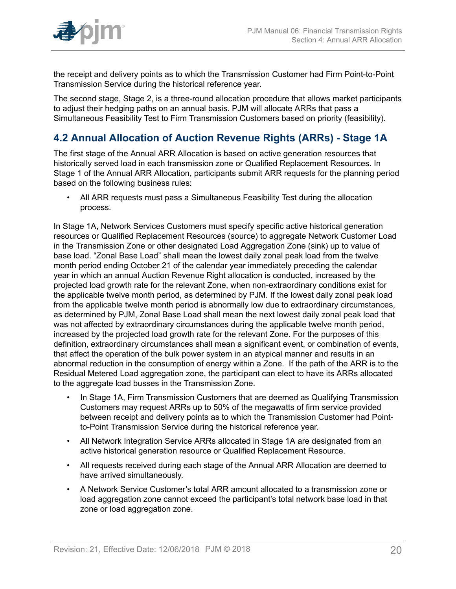

the receipt and delivery points as to which the Transmission Customer had Firm Point-to-Point Transmission Service during the historical reference year.

The second stage, Stage 2, is a three-round allocation procedure that allows market participants to adjust their hedging paths on an annual basis. PJM will allocate ARRs that pass a Simultaneous Feasibility Test to Firm Transmission Customers based on priority (feasibility).

# <span id="page-19-0"></span>**4.2 Annual Allocation of Auction Revenue Rights (ARRs) - Stage 1A**

The first stage of the Annual ARR Allocation is based on active generation resources that historically served load in each transmission zone or Qualified Replacement Resources. In Stage 1 of the Annual ARR Allocation, participants submit ARR requests for the planning period based on the following business rules:

• All ARR requests must pass a Simultaneous Feasibility Test during the allocation process.

In Stage 1A, Network Services Customers must specify specific active historical generation resources or Qualified Replacement Resources (source) to aggregate Network Customer Load in the Transmission Zone or other designated Load Aggregation Zone (sink) up to value of base load. "Zonal Base Load" shall mean the lowest daily zonal peak load from the twelve month period ending October 21 of the calendar year immediately preceding the calendar year in which an annual Auction Revenue Right allocation is conducted, increased by the projected load growth rate for the relevant Zone, when non-extraordinary conditions exist for the applicable twelve month period, as determined by PJM. If the lowest daily zonal peak load from the applicable twelve month period is abnormally low due to extraordinary circumstances, as determined by PJM, Zonal Base Load shall mean the next lowest daily zonal peak load that was not affected by extraordinary circumstances during the applicable twelve month period, increased by the projected load growth rate for the relevant Zone. For the purposes of this definition, extraordinary circumstances shall mean a significant event, or combination of events, that affect the operation of the bulk power system in an atypical manner and results in an abnormal reduction in the consumption of energy within a Zone. If the path of the ARR is to the Residual Metered Load aggregation zone, the participant can elect to have its ARRs allocated to the aggregate load busses in the Transmission Zone.

- In Stage 1A, Firm Transmission Customers that are deemed as Qualifying Transmission Customers may request ARRs up to 50% of the megawatts of firm service provided between receipt and delivery points as to which the Transmission Customer had Pointto-Point Transmission Service during the historical reference year.
- All Network Integration Service ARRs allocated in Stage 1A are designated from an active historical generation resource or Qualified Replacement Resource.
- All requests received during each stage of the Annual ARR Allocation are deemed to have arrived simultaneously.
- A Network Service Customer's total ARR amount allocated to a transmission zone or load aggregation zone cannot exceed the participant's total network base load in that zone or load aggregation zone.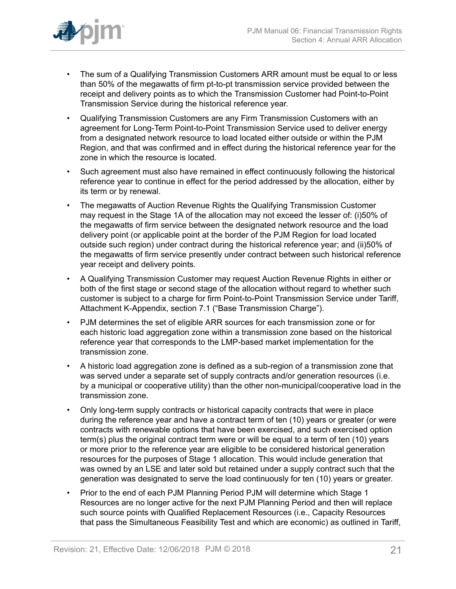

- The sum of a Qualifying Transmission Customers ARR amount must be equal to or less than 50% of the megawatts of firm pt-to-pt transmission service provided between the receipt and delivery points as to which the Transmission Customer had Point-to-Point Transmission Service during the historical reference year.
- Qualifying Transmission Customers are any Firm Transmission Customers with an agreement for Long-Term Point-to-Point Transmission Service used to deliver energy from a designated network resource to load located either outside or within the PJM Region, and that was confirmed and in effect during the historical reference year for the zone in which the resource is located.
- Such agreement must also have remained in effect continuously following the historical reference year to continue in effect for the period addressed by the allocation, either by its term or by renewal.
- The megawatts of Auction Revenue Rights the Qualifying Transmission Customer may request in the Stage 1A of the allocation may not exceed the lesser of: (i)50% of the megawatts of firm service between the designated network resource and the load delivery point (or applicable point at the border of the PJM Region for load located outside such region) under contract during the historical reference year; and (ii)50% of the megawatts of firm service presently under contract between such historical reference year receipt and delivery points.
- A Qualifying Transmission Customer may request Auction Revenue Rights in either or both of the first stage or second stage of the allocation without regard to whether such customer is subject to a charge for firm Point-to-Point Transmission Service under Tariff, Attachment K-Appendix, section 7.1 ("Base Transmission Charge").
- PJM determines the set of eligible ARR sources for each transmission zone or for each historic load aggregation zone within a transmission zone based on the historical reference year that corresponds to the LMP-based market implementation for the transmission zone.
- A historic load aggregation zone is defined as a sub-region of a transmission zone that was served under a separate set of supply contracts and/or generation resources (i.e. by a municipal or cooperative utility) than the other non-municipal/cooperative load in the transmission zone.
- Only long-term supply contracts or historical capacity contracts that were in place during the reference year and have a contract term of ten (10) years or greater (or were contracts with renewable options that have been exercised, and such exercised option term(s) plus the original contract term were or will be equal to a term of ten (10) years or more prior to the reference year are eligible to be considered historical generation resources for the purposes of Stage 1 allocation. This would include generation that was owned by an LSE and later sold but retained under a supply contract such that the generation was designated to serve the load continuously for ten (10) years or greater.
- Prior to the end of each PJM Planning Period PJM will determine which Stage 1 Resources are no longer active for the next PJM Planning Period and then will replace such source points with Qualified Replacement Resources (i.e., Capacity Resources that pass the Simultaneous Feasibility Test and which are economic) as outlined in Tariff,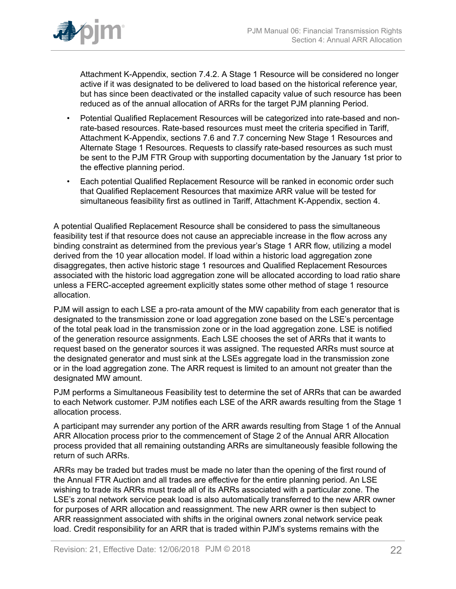

Attachment K-Appendix, section 7.4.2. A Stage 1 Resource will be considered no longer active if it was designated to be delivered to load based on the historical reference year, but has since been deactivated or the installed capacity value of such resource has been reduced as of the annual allocation of ARRs for the target PJM planning Period.

- Potential Qualified Replacement Resources will be categorized into rate-based and nonrate-based resources. Rate-based resources must meet the criteria specified in Tariff, Attachment K-Appendix, sections 7.6 and 7.7 concerning New Stage 1 Resources and Alternate Stage 1 Resources. Requests to classify rate-based resources as such must be sent to the PJM FTR Group with supporting documentation by the January 1st prior to the effective planning period.
- Each potential Qualified Replacement Resource will be ranked in economic order such that Qualified Replacement Resources that maximize ARR value will be tested for simultaneous feasibility first as outlined in Tariff, Attachment K-Appendix, section 4.

A potential Qualified Replacement Resource shall be considered to pass the simultaneous feasibility test if that resource does not cause an appreciable increase in the flow across any binding constraint as determined from the previous year's Stage 1 ARR flow, utilizing a model derived from the 10 year allocation model. If load within a historic load aggregation zone disaggregates, then active historic stage 1 resources and Qualified Replacement Resources associated with the historic load aggregation zone will be allocated according to load ratio share unless a FERC-accepted agreement explicitly states some other method of stage 1 resource allocation.

PJM will assign to each LSE a pro-rata amount of the MW capability from each generator that is designated to the transmission zone or load aggregation zone based on the LSE's percentage of the total peak load in the transmission zone or in the load aggregation zone. LSE is notified of the generation resource assignments. Each LSE chooses the set of ARRs that it wants to request based on the generator sources it was assigned. The requested ARRs must source at the designated generator and must sink at the LSEs aggregate load in the transmission zone or in the load aggregation zone. The ARR request is limited to an amount not greater than the designated MW amount.

PJM performs a Simultaneous Feasibility test to determine the set of ARRs that can be awarded to each Network customer. PJM notifies each LSE of the ARR awards resulting from the Stage 1 allocation process.

A participant may surrender any portion of the ARR awards resulting from Stage 1 of the Annual ARR Allocation process prior to the commencement of Stage 2 of the Annual ARR Allocation process provided that all remaining outstanding ARRs are simultaneously feasible following the return of such ARRs.

ARRs may be traded but trades must be made no later than the opening of the first round of the Annual FTR Auction and all trades are effective for the entire planning period. An LSE wishing to trade its ARRs must trade all of its ARRs associated with a particular zone. The LSE's zonal network service peak load is also automatically transferred to the new ARR owner for purposes of ARR allocation and reassignment. The new ARR owner is then subject to ARR reassignment associated with shifts in the original owners zonal network service peak load. Credit responsibility for an ARR that is traded within PJM's systems remains with the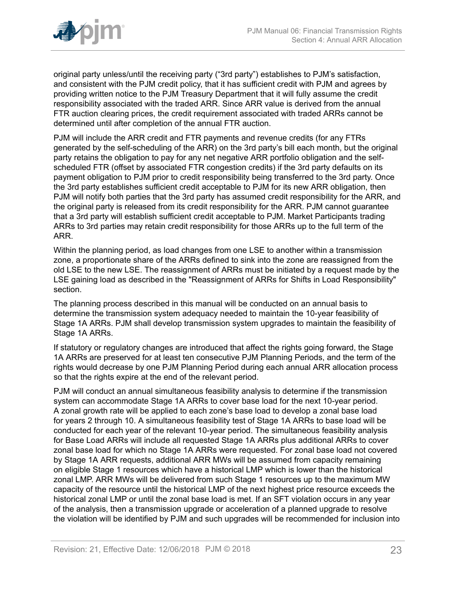

original party unless/until the receiving party ("3rd party") establishes to PJM's satisfaction, and consistent with the PJM credit policy, that it has sufficient credit with PJM and agrees by providing written notice to the PJM Treasury Department that it will fully assume the credit responsibility associated with the traded ARR. Since ARR value is derived from the annual FTR auction clearing prices, the credit requirement associated with traded ARRs cannot be determined until after completion of the annual FTR auction.

PJM will include the ARR credit and FTR payments and revenue credits (for any FTRs generated by the self-scheduling of the ARR) on the 3rd party's bill each month, but the original party retains the obligation to pay for any net negative ARR portfolio obligation and the selfscheduled FTR (offset by associated FTR congestion credits) if the 3rd party defaults on its payment obligation to PJM prior to credit responsibility being transferred to the 3rd party. Once the 3rd party establishes sufficient credit acceptable to PJM for its new ARR obligation, then PJM will notify both parties that the 3rd party has assumed credit responsibility for the ARR, and the original party is released from its credit responsibility for the ARR. PJM cannot guarantee that a 3rd party will establish sufficient credit acceptable to PJM. Market Participants trading ARRs to 3rd parties may retain credit responsibility for those ARRs up to the full term of the ARR.

Within the planning period, as load changes from one LSE to another within a transmission zone, a proportionate share of the ARRs defined to sink into the zone are reassigned from the old LSE to the new LSE. The reassignment of ARRs must be initiated by a request made by the LSE gaining load as described in the "Reassignment of ARRs for Shifts in Load Responsibility" section.

The planning process described in this manual will be conducted on an annual basis to determine the transmission system adequacy needed to maintain the 10-year feasibility of Stage 1A ARRs. PJM shall develop transmission system upgrades to maintain the feasibility of Stage 1A ARRs.

If statutory or regulatory changes are introduced that affect the rights going forward, the Stage 1A ARRs are preserved for at least ten consecutive PJM Planning Periods, and the term of the rights would decrease by one PJM Planning Period during each annual ARR allocation process so that the rights expire at the end of the relevant period.

PJM will conduct an annual simultaneous feasibility analysis to determine if the transmission system can accommodate Stage 1A ARRs to cover base load for the next 10-year period. A zonal growth rate will be applied to each zone's base load to develop a zonal base load for years 2 through 10. A simultaneous feasibility test of Stage 1A ARRs to base load will be conducted for each year of the relevant 10-year period. The simultaneous feasibility analysis for Base Load ARRs will include all requested Stage 1A ARRs plus additional ARRs to cover zonal base load for which no Stage 1A ARRs were requested. For zonal base load not covered by Stage 1A ARR requests, additional ARR MWs will be assumed from capacity remaining on eligible Stage 1 resources which have a historical LMP which is lower than the historical zonal LMP. ARR MWs will be delivered from such Stage 1 resources up to the maximum MW capacity of the resource until the historical LMP of the next highest price resource exceeds the historical zonal LMP or until the zonal base load is met. If an SFT violation occurs in any year of the analysis, then a transmission upgrade or acceleration of a planned upgrade to resolve the violation will be identified by PJM and such upgrades will be recommended for inclusion into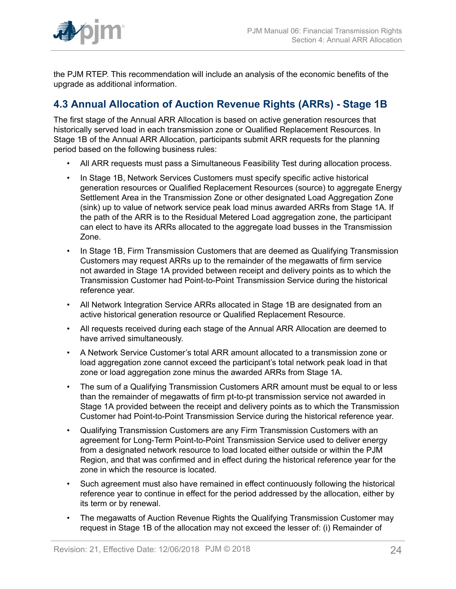

the PJM RTEP. This recommendation will include an analysis of the economic benefits of the upgrade as additional information.

# <span id="page-23-0"></span>**4.3 Annual Allocation of Auction Revenue Rights (ARRs) - Stage 1B**

The first stage of the Annual ARR Allocation is based on active generation resources that historically served load in each transmission zone or Qualified Replacement Resources. In Stage 1B of the Annual ARR Allocation, participants submit ARR requests for the planning period based on the following business rules:

- All ARR requests must pass a Simultaneous Feasibility Test during allocation process.
- In Stage 1B, Network Services Customers must specify specific active historical generation resources or Qualified Replacement Resources (source) to aggregate Energy Settlement Area in the Transmission Zone or other designated Load Aggregation Zone (sink) up to value of network service peak load minus awarded ARRs from Stage 1A. If the path of the ARR is to the Residual Metered Load aggregation zone, the participant can elect to have its ARRs allocated to the aggregate load busses in the Transmission Zone.
- In Stage 1B, Firm Transmission Customers that are deemed as Qualifying Transmission Customers may request ARRs up to the remainder of the megawatts of firm service not awarded in Stage 1A provided between receipt and delivery points as to which the Transmission Customer had Point-to-Point Transmission Service during the historical reference year.
- All Network Integration Service ARRs allocated in Stage 1B are designated from an active historical generation resource or Qualified Replacement Resource.
- All requests received during each stage of the Annual ARR Allocation are deemed to have arrived simultaneously.
- A Network Service Customer's total ARR amount allocated to a transmission zone or load aggregation zone cannot exceed the participant's total network peak load in that zone or load aggregation zone minus the awarded ARRs from Stage 1A.
- The sum of a Qualifying Transmission Customers ARR amount must be equal to or less than the remainder of megawatts of firm pt-to-pt transmission service not awarded in Stage 1A provided between the receipt and delivery points as to which the Transmission Customer had Point-to-Point Transmission Service during the historical reference year.
- Qualifying Transmission Customers are any Firm Transmission Customers with an agreement for Long-Term Point-to-Point Transmission Service used to deliver energy from a designated network resource to load located either outside or within the PJM Region, and that was confirmed and in effect during the historical reference year for the zone in which the resource is located.
- Such agreement must also have remained in effect continuously following the historical reference year to continue in effect for the period addressed by the allocation, either by its term or by renewal.
- The megawatts of Auction Revenue Rights the Qualifying Transmission Customer may request in Stage 1B of the allocation may not exceed the lesser of: (i) Remainder of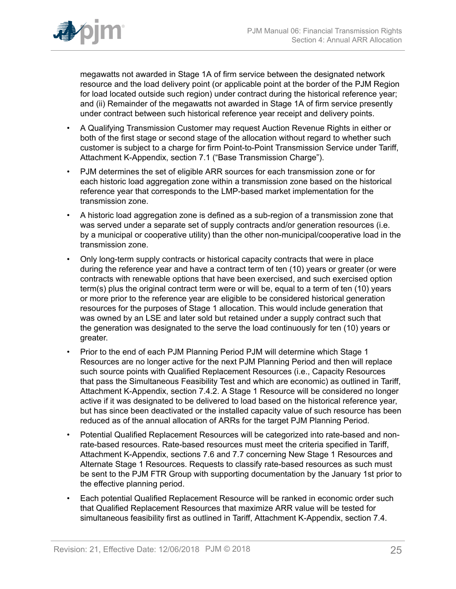

megawatts not awarded in Stage 1A of firm service between the designated network resource and the load delivery point (or applicable point at the border of the PJM Region for load located outside such region) under contract during the historical reference year; and (ii) Remainder of the megawatts not awarded in Stage 1A of firm service presently under contract between such historical reference year receipt and delivery points.

- A Qualifying Transmission Customer may request Auction Revenue Rights in either or both of the first stage or second stage of the allocation without regard to whether such customer is subject to a charge for firm Point-to-Point Transmission Service under Tariff, Attachment K-Appendix, section 7.1 ("Base Transmission Charge").
- PJM determines the set of eligible ARR sources for each transmission zone or for each historic load aggregation zone within a transmission zone based on the historical reference year that corresponds to the LMP-based market implementation for the transmission zone.
- A historic load aggregation zone is defined as a sub-region of a transmission zone that was served under a separate set of supply contracts and/or generation resources (i.e. by a municipal or cooperative utility) than the other non-municipal/cooperative load in the transmission zone.
- Only long-term supply contracts or historical capacity contracts that were in place during the reference year and have a contract term of ten (10) years or greater (or were contracts with renewable options that have been exercised, and such exercised option term(s) plus the original contract term were or will be, equal to a term of ten (10) years or more prior to the reference year are eligible to be considered historical generation resources for the purposes of Stage 1 allocation. This would include generation that was owned by an LSE and later sold but retained under a supply contract such that the generation was designated to the serve the load continuously for ten (10) years or greater.
- Prior to the end of each PJM Planning Period PJM will determine which Stage 1 Resources are no longer active for the next PJM Planning Period and then will replace such source points with Qualified Replacement Resources (i.e., Capacity Resources that pass the Simultaneous Feasibility Test and which are economic) as outlined in Tariff, Attachment K-Appendix, section 7.4.2. A Stage 1 Resource will be considered no longer active if it was designated to be delivered to load based on the historical reference year, but has since been deactivated or the installed capacity value of such resource has been reduced as of the annual allocation of ARRs for the target PJM Planning Period.
- Potential Qualified Replacement Resources will be categorized into rate-based and nonrate-based resources. Rate-based resources must meet the criteria specified in Tariff, Attachment K-Appendix, sections 7.6 and 7.7 concerning New Stage 1 Resources and Alternate Stage 1 Resources. Requests to classify rate-based resources as such must be sent to the PJM FTR Group with supporting documentation by the January 1st prior to the effective planning period.
- Each potential Qualified Replacement Resource will be ranked in economic order such that Qualified Replacement Resources that maximize ARR value will be tested for simultaneous feasibility first as outlined in Tariff, Attachment K-Appendix, section 7.4.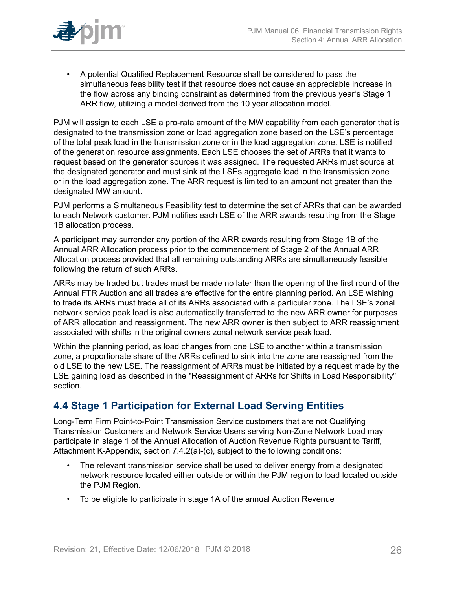

• A potential Qualified Replacement Resource shall be considered to pass the simultaneous feasibility test if that resource does not cause an appreciable increase in the flow across any binding constraint as determined from the previous year's Stage 1 ARR flow, utilizing a model derived from the 10 year allocation model.

PJM will assign to each LSE a pro-rata amount of the MW capability from each generator that is designated to the transmission zone or load aggregation zone based on the LSE's percentage of the total peak load in the transmission zone or in the load aggregation zone. LSE is notified of the generation resource assignments. Each LSE chooses the set of ARRs that it wants to request based on the generator sources it was assigned. The requested ARRs must source at the designated generator and must sink at the LSEs aggregate load in the transmission zone or in the load aggregation zone. The ARR request is limited to an amount not greater than the designated MW amount.

PJM performs a Simultaneous Feasibility test to determine the set of ARRs that can be awarded to each Network customer. PJM notifies each LSE of the ARR awards resulting from the Stage 1B allocation process.

A participant may surrender any portion of the ARR awards resulting from Stage 1B of the Annual ARR Allocation process prior to the commencement of Stage 2 of the Annual ARR Allocation process provided that all remaining outstanding ARRs are simultaneously feasible following the return of such ARRs.

ARRs may be traded but trades must be made no later than the opening of the first round of the Annual FTR Auction and all trades are effective for the entire planning period. An LSE wishing to trade its ARRs must trade all of its ARRs associated with a particular zone. The LSE's zonal network service peak load is also automatically transferred to the new ARR owner for purposes of ARR allocation and reassignment. The new ARR owner is then subject to ARR reassignment associated with shifts in the original owners zonal network service peak load.

Within the planning period, as load changes from one LSE to another within a transmission zone, a proportionate share of the ARRs defined to sink into the zone are reassigned from the old LSE to the new LSE. The reassignment of ARRs must be initiated by a request made by the LSE gaining load as described in the "Reassignment of ARRs for Shifts in Load Responsibility" section.

# <span id="page-25-0"></span>**4.4 Stage 1 Participation for External Load Serving Entities**

Long-Term Firm Point-to-Point Transmission Service customers that are not Qualifying Transmission Customers and Network Service Users serving Non-Zone Network Load may participate in stage 1 of the Annual Allocation of Auction Revenue Rights pursuant to Tariff, Attachment K-Appendix, section 7.4.2(a)-(c), subject to the following conditions:

- The relevant transmission service shall be used to deliver energy from a designated network resource located either outside or within the PJM region to load located outside the PJM Region.
- To be eligible to participate in stage 1A of the annual Auction Revenue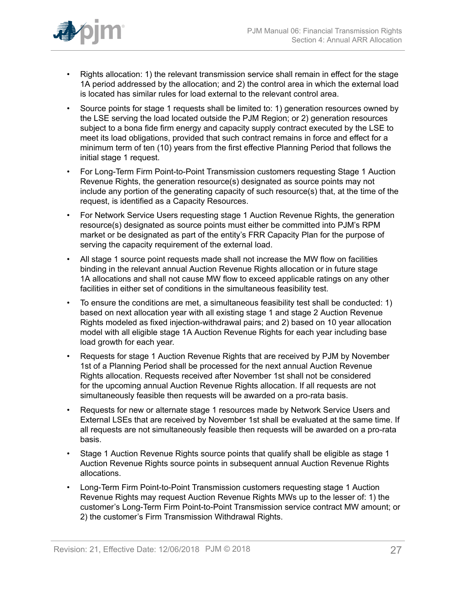

- Rights allocation: 1) the relevant transmission service shall remain in effect for the stage 1A period addressed by the allocation; and 2) the control area in which the external load is located has similar rules for load external to the relevant control area.
- Source points for stage 1 requests shall be limited to: 1) generation resources owned by the LSE serving the load located outside the PJM Region; or 2) generation resources subject to a bona fide firm energy and capacity supply contract executed by the LSE to meet its load obligations, provided that such contract remains in force and effect for a minimum term of ten (10) years from the first effective Planning Period that follows the initial stage 1 request.
- For Long-Term Firm Point-to-Point Transmission customers requesting Stage 1 Auction Revenue Rights, the generation resource(s) designated as source points may not include any portion of the generating capacity of such resource(s) that, at the time of the request, is identified as a Capacity Resources.
- For Network Service Users requesting stage 1 Auction Revenue Rights, the generation resource(s) designated as source points must either be committed into PJM's RPM market or be designated as part of the entity's FRR Capacity Plan for the purpose of serving the capacity requirement of the external load.
- All stage 1 source point requests made shall not increase the MW flow on facilities binding in the relevant annual Auction Revenue Rights allocation or in future stage 1A allocations and shall not cause MW flow to exceed applicable ratings on any other facilities in either set of conditions in the simultaneous feasibility test.
- To ensure the conditions are met, a simultaneous feasibility test shall be conducted: 1) based on next allocation year with all existing stage 1 and stage 2 Auction Revenue Rights modeled as fixed injection-withdrawal pairs; and 2) based on 10 year allocation model with all eligible stage 1A Auction Revenue Rights for each year including base load growth for each year.
- Requests for stage 1 Auction Revenue Rights that are received by PJM by November 1st of a Planning Period shall be processed for the next annual Auction Revenue Rights allocation. Requests received after November 1st shall not be considered for the upcoming annual Auction Revenue Rights allocation. If all requests are not simultaneously feasible then requests will be awarded on a pro-rata basis.
- Requests for new or alternate stage 1 resources made by Network Service Users and External LSEs that are received by November 1st shall be evaluated at the same time. If all requests are not simultaneously feasible then requests will be awarded on a pro-rata basis.
- Stage 1 Auction Revenue Rights source points that qualify shall be eligible as stage 1 Auction Revenue Rights source points in subsequent annual Auction Revenue Rights allocations.
- Long-Term Firm Point-to-Point Transmission customers requesting stage 1 Auction Revenue Rights may request Auction Revenue Rights MWs up to the lesser of: 1) the customer's Long-Term Firm Point-to-Point Transmission service contract MW amount; or 2) the customer's Firm Transmission Withdrawal Rights.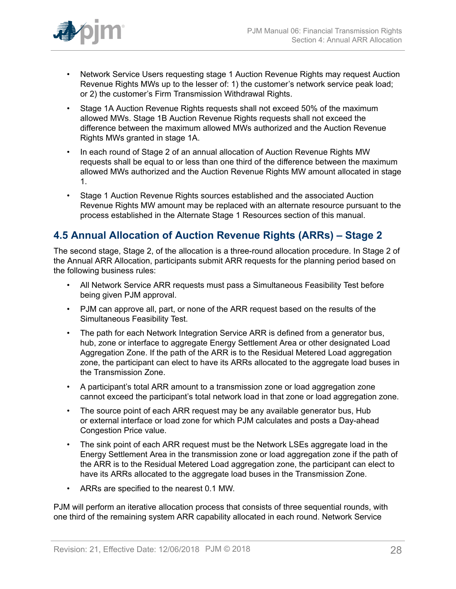

- Network Service Users requesting stage 1 Auction Revenue Rights may request Auction Revenue Rights MWs up to the lesser of: 1) the customer's network service peak load; or 2) the customer's Firm Transmission Withdrawal Rights.
- Stage 1A Auction Revenue Rights requests shall not exceed 50% of the maximum allowed MWs. Stage 1B Auction Revenue Rights requests shall not exceed the difference between the maximum allowed MWs authorized and the Auction Revenue Rights MWs granted in stage 1A.
- In each round of Stage 2 of an annual allocation of Auction Revenue Rights MW requests shall be equal to or less than one third of the difference between the maximum allowed MWs authorized and the Auction Revenue Rights MW amount allocated in stage 1.
- Stage 1 Auction Revenue Rights sources established and the associated Auction Revenue Rights MW amount may be replaced with an alternate resource pursuant to the process established in the Alternate Stage 1 Resources section of this manual.

## <span id="page-27-0"></span>**4.5 Annual Allocation of Auction Revenue Rights (ARRs) – Stage 2**

The second stage, Stage 2, of the allocation is a three-round allocation procedure. In Stage 2 of the Annual ARR Allocation, participants submit ARR requests for the planning period based on the following business rules:

- All Network Service ARR requests must pass a Simultaneous Feasibility Test before being given PJM approval.
- PJM can approve all, part, or none of the ARR request based on the results of the Simultaneous Feasibility Test.
- The path for each Network Integration Service ARR is defined from a generator bus, hub, zone or interface to aggregate Energy Settlement Area or other designated Load Aggregation Zone. If the path of the ARR is to the Residual Metered Load aggregation zone, the participant can elect to have its ARRs allocated to the aggregate load buses in the Transmission Zone.
- A participant's total ARR amount to a transmission zone or load aggregation zone cannot exceed the participant's total network load in that zone or load aggregation zone.
- The source point of each ARR request may be any available generator bus, Hub or external interface or load zone for which PJM calculates and posts a Day-ahead Congestion Price value.
- The sink point of each ARR request must be the Network LSEs aggregate load in the Energy Settlement Area in the transmission zone or load aggregation zone if the path of the ARR is to the Residual Metered Load aggregation zone, the participant can elect to have its ARRs allocated to the aggregate load buses in the Transmission Zone.
- ARRs are specified to the nearest 0.1 MW.

PJM will perform an iterative allocation process that consists of three sequential rounds, with one third of the remaining system ARR capability allocated in each round. Network Service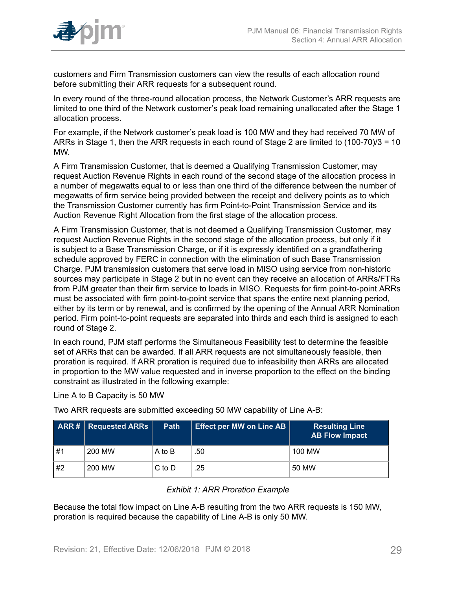

customers and Firm Transmission customers can view the results of each allocation round before submitting their ARR requests for a subsequent round.

In every round of the three-round allocation process, the Network Customer's ARR requests are limited to one third of the Network customer's peak load remaining unallocated after the Stage 1 allocation process.

For example, if the Network customer's peak load is 100 MW and they had received 70 MW of ARRs in Stage 1, then the ARR requests in each round of Stage 2 are limited to (100-70)/3 = 10 MW.

A Firm Transmission Customer, that is deemed a Qualifying Transmission Customer, may request Auction Revenue Rights in each round of the second stage of the allocation process in a number of megawatts equal to or less than one third of the difference between the number of megawatts of firm service being provided between the receipt and delivery points as to which the Transmission Customer currently has firm Point-to-Point Transmission Service and its Auction Revenue Right Allocation from the first stage of the allocation process.

A Firm Transmission Customer, that is not deemed a Qualifying Transmission Customer, may request Auction Revenue Rights in the second stage of the allocation process, but only if it is subject to a Base Transmission Charge, or if it is expressly identified on a grandfathering schedule approved by FERC in connection with the elimination of such Base Transmission Charge. PJM transmission customers that serve load in MISO using service from non-historic sources may participate in Stage 2 but in no event can they receive an allocation of ARRs/FTRs from PJM greater than their firm service to loads in MISO. Requests for firm point-to-point ARRs must be associated with firm point-to-point service that spans the entire next planning period, either by its term or by renewal, and is confirmed by the opening of the Annual ARR Nomination period. Firm point-to-point requests are separated into thirds and each third is assigned to each round of Stage 2.

In each round, PJM staff performs the Simultaneous Feasibility test to determine the feasible set of ARRs that can be awarded. If all ARR requests are not simultaneously feasible, then proration is required. If ARR proration is required due to infeasibility then ARRs are allocated in proportion to the MW value requested and in inverse proportion to the effect on the binding constraint as illustrated in the following example:

Line A to B Capacity is 50 MW

Two ARR requests are submitted exceeding 50 MW capability of Line A-B:

<span id="page-28-0"></span>

|    | ARR #   RequiredARRs | <b>Path</b> | Effect per MW on Line AB | <b>Resulting Line</b><br><b>AB Flow Impact</b> |
|----|----------------------|-------------|--------------------------|------------------------------------------------|
| #1 | 200 MW               | A to B      | .50                      | 100 MW                                         |
| #2 | 200 MW               | $C$ to $D$  | .25                      | 50 MW                                          |

#### *Exhibit 1: ARR Proration Example*

Because the total flow impact on Line A-B resulting from the two ARR requests is 150 MW, proration is required because the capability of Line A-B is only 50 MW.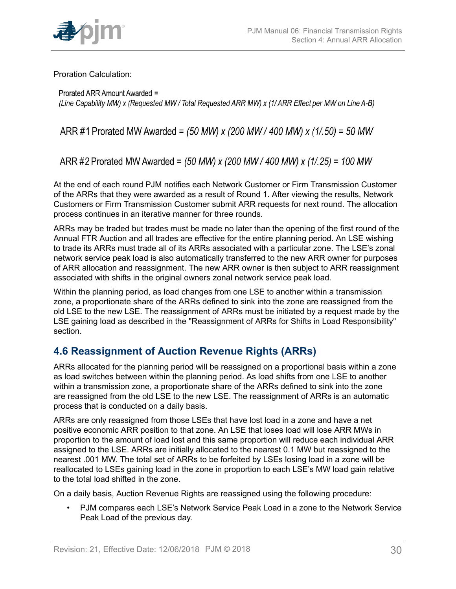

Proration Calculation:

Prorated ARR Amount Awarded = (Line Capability MW) x (Requested MW/Total Requested ARR MW) x (1/ARR Effect per MW on Line A-B)

ARR #1 Prorated MW Awarded = (50 MW) x (200 MW / 400 MW) x (1/.50) = 50 MW

ARR #2 Prorated MW Awarded = (50 MW) x (200 MW / 400 MW) x (1/.25) = 100 MW

At the end of each round PJM notifies each Network Customer or Firm Transmission Customer of the ARRs that they were awarded as a result of Round 1. After viewing the results, Network Customers or Firm Transmission Customer submit ARR requests for next round. The allocation process continues in an iterative manner for three rounds.

ARRs may be traded but trades must be made no later than the opening of the first round of the Annual FTR Auction and all trades are effective for the entire planning period. An LSE wishing to trade its ARRs must trade all of its ARRs associated with a particular zone. The LSE's zonal network service peak load is also automatically transferred to the new ARR owner for purposes of ARR allocation and reassignment. The new ARR owner is then subject to ARR reassignment associated with shifts in the original owners zonal network service peak load.

Within the planning period, as load changes from one LSE to another within a transmission zone, a proportionate share of the ARRs defined to sink into the zone are reassigned from the old LSE to the new LSE. The reassignment of ARRs must be initiated by a request made by the LSE gaining load as described in the "Reassignment of ARRs for Shifts in Load Responsibility" section.

# <span id="page-29-0"></span>**4.6 Reassignment of Auction Revenue Rights (ARRs)**

ARRs allocated for the planning period will be reassigned on a proportional basis within a zone as load switches between within the planning period. As load shifts from one LSE to another within a transmission zone, a proportionate share of the ARRs defined to sink into the zone are reassigned from the old LSE to the new LSE. The reassignment of ARRs is an automatic process that is conducted on a daily basis.

ARRs are only reassigned from those LSEs that have lost load in a zone and have a net positive economic ARR position to that zone. An LSE that loses load will lose ARR MWs in proportion to the amount of load lost and this same proportion will reduce each individual ARR assigned to the LSE. ARRs are initially allocated to the nearest 0.1 MW but reassigned to the nearest .001 MW. The total set of ARRs to be forfeited by LSEs losing load in a zone will be reallocated to LSEs gaining load in the zone in proportion to each LSE's MW load gain relative to the total load shifted in the zone.

On a daily basis, Auction Revenue Rights are reassigned using the following procedure:

• PJM compares each LSE's Network Service Peak Load in a zone to the Network Service Peak Load of the previous day.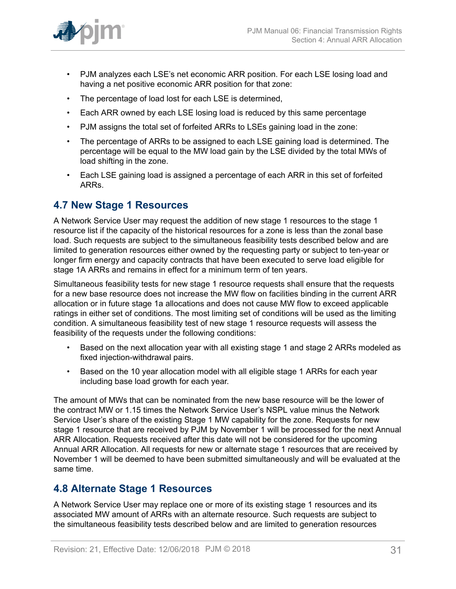

- PJM analyzes each LSE's net economic ARR position. For each LSE losing load and having a net positive economic ARR position for that zone:
- The percentage of load lost for each LSE is determined,
- Each ARR owned by each LSE losing load is reduced by this same percentage
- PJM assigns the total set of forfeited ARRs to LSEs gaining load in the zone:
- The percentage of ARRs to be assigned to each LSE gaining load is determined. The percentage will be equal to the MW load gain by the LSE divided by the total MWs of load shifting in the zone.
- Each LSE gaining load is assigned a percentage of each ARR in this set of forfeited ARRs.

### <span id="page-30-0"></span>**4.7 New Stage 1 Resources**

A Network Service User may request the addition of new stage 1 resources to the stage 1 resource list if the capacity of the historical resources for a zone is less than the zonal base load. Such requests are subject to the simultaneous feasibility tests described below and are limited to generation resources either owned by the requesting party or subject to ten-year or longer firm energy and capacity contracts that have been executed to serve load eligible for stage 1A ARRs and remains in effect for a minimum term of ten years.

Simultaneous feasibility tests for new stage 1 resource requests shall ensure that the requests for a new base resource does not increase the MW flow on facilities binding in the current ARR allocation or in future stage 1a allocations and does not cause MW flow to exceed applicable ratings in either set of conditions. The most limiting set of conditions will be used as the limiting condition. A simultaneous feasibility test of new stage 1 resource requests will assess the feasibility of the requests under the following conditions:

- Based on the next allocation year with all existing stage 1 and stage 2 ARRs modeled as fixed injection-withdrawal pairs.
- Based on the 10 year allocation model with all eligible stage 1 ARRs for each year including base load growth for each year.

The amount of MWs that can be nominated from the new base resource will be the lower of the contract MW or 1.15 times the Network Service User's NSPL value minus the Network Service User's share of the existing Stage 1 MW capability for the zone. Requests for new stage 1 resource that are received by PJM by November 1 will be processed for the next Annual ARR Allocation. Requests received after this date will not be considered for the upcoming Annual ARR Allocation. All requests for new or alternate stage 1 resources that are received by November 1 will be deemed to have been submitted simultaneously and will be evaluated at the same time.

### <span id="page-30-1"></span>**4.8 Alternate Stage 1 Resources**

A Network Service User may replace one or more of its existing stage 1 resources and its associated MW amount of ARRs with an alternate resource. Such requests are subject to the simultaneous feasibility tests described below and are limited to generation resources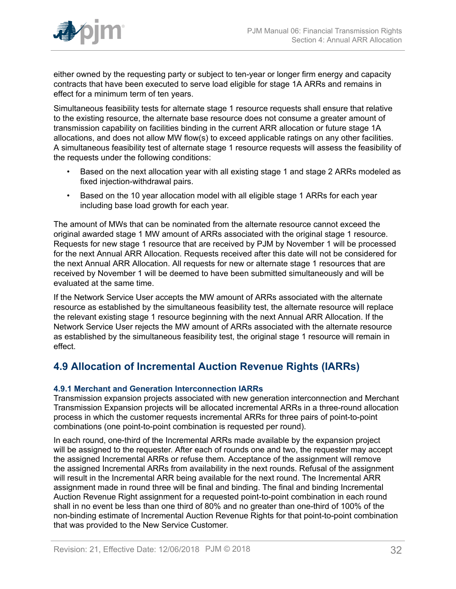

either owned by the requesting party or subject to ten-year or longer firm energy and capacity contracts that have been executed to serve load eligible for stage 1A ARRs and remains in effect for a minimum term of ten years.

Simultaneous feasibility tests for alternate stage 1 resource requests shall ensure that relative to the existing resource, the alternate base resource does not consume a greater amount of transmission capability on facilities binding in the current ARR allocation or future stage 1A allocations, and does not allow MW flow(s) to exceed applicable ratings on any other facilities. A simultaneous feasibility test of alternate stage 1 resource requests will assess the feasibility of the requests under the following conditions:

- Based on the next allocation year with all existing stage 1 and stage 2 ARRs modeled as fixed injection-withdrawal pairs.
- Based on the 10 year allocation model with all eligible stage 1 ARRs for each year including base load growth for each year.

The amount of MWs that can be nominated from the alternate resource cannot exceed the original awarded stage 1 MW amount of ARRs associated with the original stage 1 resource. Requests for new stage 1 resource that are received by PJM by November 1 will be processed for the next Annual ARR Allocation. Requests received after this date will not be considered for the next Annual ARR Allocation. All requests for new or alternate stage 1 resources that are received by November 1 will be deemed to have been submitted simultaneously and will be evaluated at the same time.

If the Network Service User accepts the MW amount of ARRs associated with the alternate resource as established by the simultaneous feasibility test, the alternate resource will replace the relevant existing stage 1 resource beginning with the next Annual ARR Allocation. If the Network Service User rejects the MW amount of ARRs associated with the alternate resource as established by the simultaneous feasibility test, the original stage 1 resource will remain in effect.

### <span id="page-31-0"></span>**4.9 Allocation of Incremental Auction Revenue Rights (IARRs)**

### <span id="page-31-1"></span>**4.9.1 Merchant and Generation Interconnection IARRs**

Transmission expansion projects associated with new generation interconnection and Merchant Transmission Expansion projects will be allocated incremental ARRs in a three-round allocation process in which the customer requests incremental ARRs for three pairs of point-to-point combinations (one point-to-point combination is requested per round).

In each round, one-third of the Incremental ARRs made available by the expansion project will be assigned to the requester. After each of rounds one and two, the requester may accept the assigned Incremental ARRs or refuse them. Acceptance of the assignment will remove the assigned Incremental ARRs from availability in the next rounds. Refusal of the assignment will result in the Incremental ARR being available for the next round. The Incremental ARR assignment made in round three will be final and binding. The final and binding Incremental Auction Revenue Right assignment for a requested point-to-point combination in each round shall in no event be less than one third of 80% and no greater than one-third of 100% of the non-binding estimate of Incremental Auction Revenue Rights for that point-to-point combination that was provided to the New Service Customer.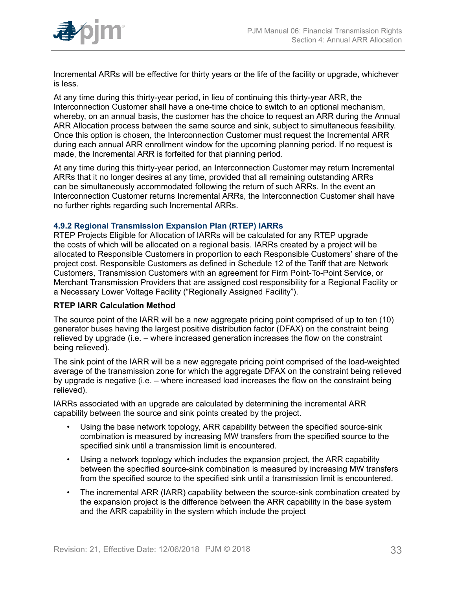

Incremental ARRs will be effective for thirty years or the life of the facility or upgrade, whichever is less.

At any time during this thirty-year period, in lieu of continuing this thirty-year ARR, the Interconnection Customer shall have a one-time choice to switch to an optional mechanism, whereby, on an annual basis, the customer has the choice to request an ARR during the Annual ARR Allocation process between the same source and sink, subject to simultaneous feasibility. Once this option is chosen, the Interconnection Customer must request the Incremental ARR during each annual ARR enrollment window for the upcoming planning period. If no request is made, the Incremental ARR is forfeited for that planning period.

At any time during this thirty-year period, an Interconnection Customer may return Incremental ARRs that it no longer desires at any time, provided that all remaining outstanding ARRs can be simultaneously accommodated following the return of such ARRs. In the event an Interconnection Customer returns Incremental ARRs, the Interconnection Customer shall have no further rights regarding such Incremental ARRs.

#### <span id="page-32-0"></span>**4.9.2 Regional Transmission Expansion Plan (RTEP) IARRs**

RTEP Projects Eligible for Allocation of IARRs will be calculated for any RTEP upgrade the costs of which will be allocated on a regional basis. IARRs created by a project will be allocated to Responsible Customers in proportion to each Responsible Customers' share of the project cost. Responsible Customers as defined in Schedule 12 of the Tariff that are Network Customers, Transmission Customers with an agreement for Firm Point-To-Point Service, or Merchant Transmission Providers that are assigned cost responsibility for a Regional Facility or a Necessary Lower Voltage Facility ("Regionally Assigned Facility").

#### **RTEP IARR Calculation Method**

The source point of the IARR will be a new aggregate pricing point comprised of up to ten (10) generator buses having the largest positive distribution factor (DFAX) on the constraint being relieved by upgrade (i.e. – where increased generation increases the flow on the constraint being relieved).

The sink point of the IARR will be a new aggregate pricing point comprised of the load-weighted average of the transmission zone for which the aggregate DFAX on the constraint being relieved by upgrade is negative (i.e. – where increased load increases the flow on the constraint being relieved).

IARRs associated with an upgrade are calculated by determining the incremental ARR capability between the source and sink points created by the project.

- Using the base network topology, ARR capability between the specified source-sink combination is measured by increasing MW transfers from the specified source to the specified sink until a transmission limit is encountered.
- Using a network topology which includes the expansion project, the ARR capability between the specified source-sink combination is measured by increasing MW transfers from the specified source to the specified sink until a transmission limit is encountered.
- The incremental ARR (IARR) capability between the source-sink combination created by the expansion project is the difference between the ARR capability in the base system and the ARR capability in the system which include the project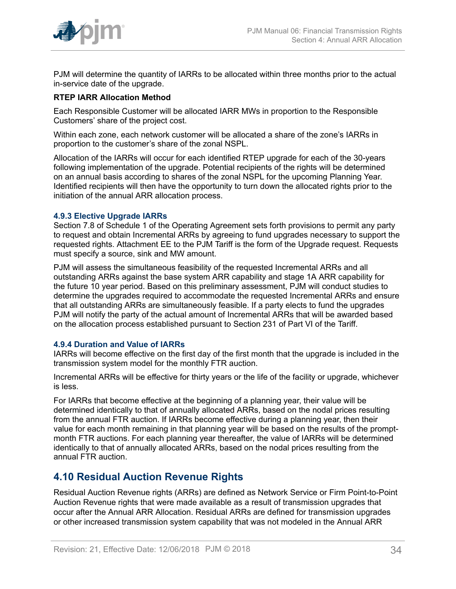

PJM will determine the quantity of IARRs to be allocated within three months prior to the actual in-service date of the upgrade.

### **RTEP IARR Allocation Method**

Each Responsible Customer will be allocated IARR MWs in proportion to the Responsible Customers' share of the project cost.

Within each zone, each network customer will be allocated a share of the zone's IARRs in proportion to the customer's share of the zonal NSPL.

Allocation of the IARRs will occur for each identified RTEP upgrade for each of the 30-years following implementation of the upgrade. Potential recipients of the rights will be determined on an annual basis according to shares of the zonal NSPL for the upcoming Planning Year. Identified recipients will then have the opportunity to turn down the allocated rights prior to the initiation of the annual ARR allocation process.

#### <span id="page-33-0"></span>**4.9.3 Elective Upgrade IARRs**

Section 7.8 of Schedule 1 of the Operating Agreement sets forth provisions to permit any party to request and obtain Incremental ARRs by agreeing to fund upgrades necessary to support the requested rights. Attachment EE to the PJM Tariff is the form of the Upgrade request. Requests must specify a source, sink and MW amount.

PJM will assess the simultaneous feasibility of the requested Incremental ARRs and all outstanding ARRs against the base system ARR capability and stage 1A ARR capability for the future 10 year period. Based on this preliminary assessment, PJM will conduct studies to determine the upgrades required to accommodate the requested Incremental ARRs and ensure that all outstanding ARRs are simultaneously feasible. If a party elects to fund the upgrades PJM will notify the party of the actual amount of Incremental ARRs that will be awarded based on the allocation process established pursuant to Section 231 of Part VI of the Tariff.

#### <span id="page-33-1"></span>**4.9.4 Duration and Value of IARRs**

IARRs will become effective on the first day of the first month that the upgrade is included in the transmission system model for the monthly FTR auction.

Incremental ARRs will be effective for thirty years or the life of the facility or upgrade, whichever is less.

For IARRs that become effective at the beginning of a planning year, their value will be determined identically to that of annually allocated ARRs, based on the nodal prices resulting from the annual FTR auction. If IARRs become effective during a planning year, then their value for each month remaining in that planning year will be based on the results of the promptmonth FTR auctions. For each planning year thereafter, the value of IARRs will be determined identically to that of annually allocated ARRs, based on the nodal prices resulting from the annual FTR auction.

### <span id="page-33-2"></span>**4.10 Residual Auction Revenue Rights**

Residual Auction Revenue rights (ARRs) are defined as Network Service or Firm Point-to-Point Auction Revenue rights that were made available as a result of transmission upgrades that occur after the Annual ARR Allocation. Residual ARRs are defined for transmission upgrades or other increased transmission system capability that was not modeled in the Annual ARR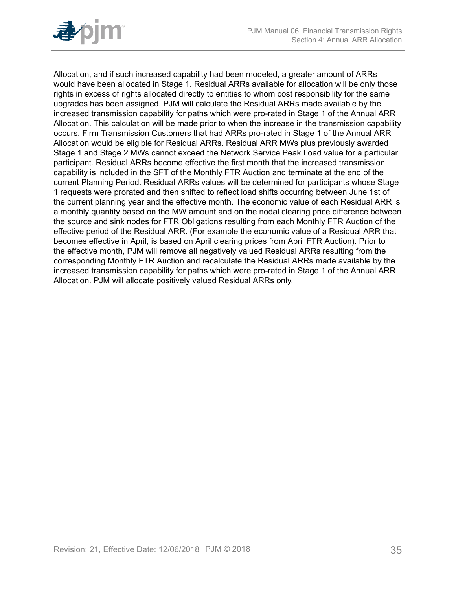

Allocation, and if such increased capability had been modeled, a greater amount of ARRs would have been allocated in Stage 1. Residual ARRs available for allocation will be only those rights in excess of rights allocated directly to entities to whom cost responsibility for the same upgrades has been assigned. PJM will calculate the Residual ARRs made available by the increased transmission capability for paths which were pro-rated in Stage 1 of the Annual ARR Allocation. This calculation will be made prior to when the increase in the transmission capability occurs. Firm Transmission Customers that had ARRs pro-rated in Stage 1 of the Annual ARR Allocation would be eligible for Residual ARRs. Residual ARR MWs plus previously awarded Stage 1 and Stage 2 MWs cannot exceed the Network Service Peak Load value for a particular participant. Residual ARRs become effective the first month that the increased transmission capability is included in the SFT of the Monthly FTR Auction and terminate at the end of the current Planning Period. Residual ARRs values will be determined for participants whose Stage 1 requests were prorated and then shifted to reflect load shifts occurring between June 1st of the current planning year and the effective month. The economic value of each Residual ARR is a monthly quantity based on the MW amount and on the nodal clearing price difference between the source and sink nodes for FTR Obligations resulting from each Monthly FTR Auction of the effective period of the Residual ARR. (For example the economic value of a Residual ARR that becomes effective in April, is based on April clearing prices from April FTR Auction). Prior to the effective month, PJM will remove all negatively valued Residual ARRs resulting from the corresponding Monthly FTR Auction and recalculate the Residual ARRs made available by the increased transmission capability for paths which were pro-rated in Stage 1 of the Annual ARR Allocation. PJM will allocate positively valued Residual ARRs only.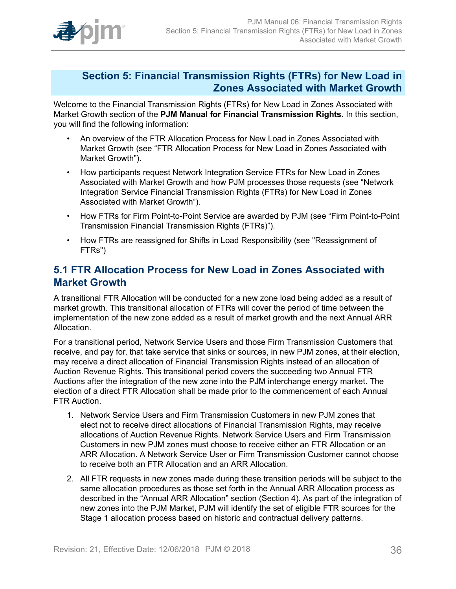

### <span id="page-35-0"></span>**Section 5: Financial Transmission Rights (FTRs) for New Load in Zones Associated with Market Growth**

Welcome to the Financial Transmission Rights (FTRs) for New Load in Zones Associated with Market Growth section of the **PJM Manual for Financial Transmission Rights**. In this section, you will find the following information:

- An overview of the FTR Allocation Process for New Load in Zones Associated with Market Growth (see "FTR Allocation Process for New Load in Zones Associated with Market Growth").
- How participants request Network Integration Service FTRs for New Load in Zones Associated with Market Growth and how PJM processes those requests (see "Network Integration Service Financial Transmission Rights (FTRs) for New Load in Zones Associated with Market Growth").
- How FTRs for Firm Point-to-Point Service are awarded by PJM (see "Firm Point-to-Point Transmission Financial Transmission Rights (FTRs)").
- How FTRs are reassigned for Shifts in Load Responsibility (see "Reassignment of FTRs")

### <span id="page-35-1"></span>**5.1 FTR Allocation Process for New Load in Zones Associated with Market Growth**

A transitional FTR Allocation will be conducted for a new zone load being added as a result of market growth. This transitional allocation of FTRs will cover the period of time between the implementation of the new zone added as a result of market growth and the next Annual ARR Allocation.

For a transitional period, Network Service Users and those Firm Transmission Customers that receive, and pay for, that take service that sinks or sources, in new PJM zones, at their election, may receive a direct allocation of Financial Transmission Rights instead of an allocation of Auction Revenue Rights. This transitional period covers the succeeding two Annual FTR Auctions after the integration of the new zone into the PJM interchange energy market. The election of a direct FTR Allocation shall be made prior to the commencement of each Annual FTR Auction.

- 1. Network Service Users and Firm Transmission Customers in new PJM zones that elect not to receive direct allocations of Financial Transmission Rights, may receive allocations of Auction Revenue Rights. Network Service Users and Firm Transmission Customers in new PJM zones must choose to receive either an FTR Allocation or an ARR Allocation. A Network Service User or Firm Transmission Customer cannot choose to receive both an FTR Allocation and an ARR Allocation.
- 2. All FTR requests in new zones made during these transition periods will be subject to the same allocation procedures as those set forth in the Annual ARR Allocation process as described in the "Annual ARR Allocation" section (Section 4). As part of the integration of new zones into the PJM Market, PJM will identify the set of eligible FTR sources for the Stage 1 allocation process based on historic and contractual delivery patterns.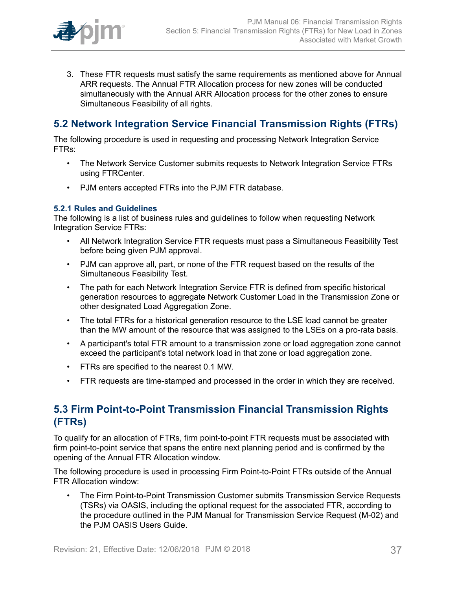

3. These FTR requests must satisfy the same requirements as mentioned above for Annual ARR requests. The Annual FTR Allocation process for new zones will be conducted simultaneously with the Annual ARR Allocation process for the other zones to ensure Simultaneous Feasibility of all rights.

# <span id="page-36-0"></span>**5.2 Network Integration Service Financial Transmission Rights (FTRs)**

The following procedure is used in requesting and processing Network Integration Service FTRs:

- The Network Service Customer submits requests to Network Integration Service FTRs using FTRCenter.
- PJM enters accepted FTRs into the PJM FTR database.

#### <span id="page-36-1"></span>**5.2.1 Rules and Guidelines**

The following is a list of business rules and guidelines to follow when requesting Network Integration Service FTRs:

- All Network Integration Service FTR requests must pass a Simultaneous Feasibility Test before being given PJM approval.
- PJM can approve all, part, or none of the FTR request based on the results of the Simultaneous Feasibility Test.
- The path for each Network Integration Service FTR is defined from specific historical generation resources to aggregate Network Customer Load in the Transmission Zone or other designated Load Aggregation Zone.
- The total FTRs for a historical generation resource to the LSE load cannot be greater than the MW amount of the resource that was assigned to the LSEs on a pro-rata basis.
- A participant's total FTR amount to a transmission zone or load aggregation zone cannot exceed the participant's total network load in that zone or load aggregation zone.
- FTRs are specified to the nearest 0.1 MW.
- FTR requests are time-stamped and processed in the order in which they are received.

## <span id="page-36-2"></span>**5.3 Firm Point-to-Point Transmission Financial Transmission Rights (FTRs)**

To qualify for an allocation of FTRs, firm point-to-point FTR requests must be associated with firm point-to-point service that spans the entire next planning period and is confirmed by the opening of the Annual FTR Allocation window.

The following procedure is used in processing Firm Point-to-Point FTRs outside of the Annual FTR Allocation window:

• The Firm Point-to-Point Transmission Customer submits Transmission Service Requests (TSRs) via OASIS, including the optional request for the associated FTR, according to the procedure outlined in the PJM Manual for Transmission Service Request (M-02) and the PJM OASIS Users Guide.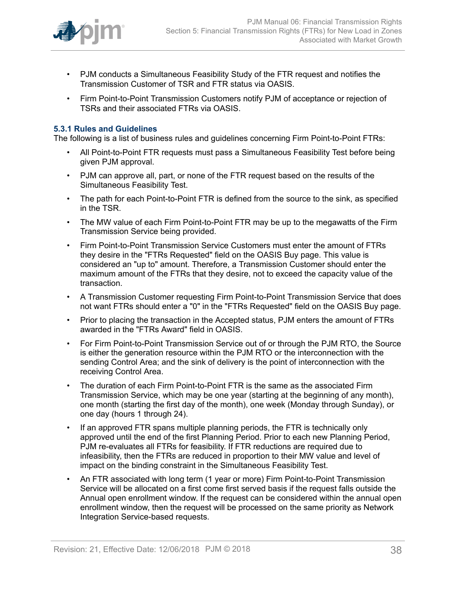

- PJM conducts a Simultaneous Feasibility Study of the FTR request and notifies the Transmission Customer of TSR and FTR status via OASIS.
- Firm Point-to-Point Transmission Customers notify PJM of acceptance or rejection of TSRs and their associated FTRs via OASIS.

#### <span id="page-37-0"></span>**5.3.1 Rules and Guidelines**

The following is a list of business rules and guidelines concerning Firm Point-to-Point FTRs:

- All Point-to-Point FTR requests must pass a Simultaneous Feasibility Test before being given PJM approval.
- PJM can approve all, part, or none of the FTR request based on the results of the Simultaneous Feasibility Test.
- The path for each Point-to-Point FTR is defined from the source to the sink, as specified in the TSR.
- The MW value of each Firm Point-to-Point FTR may be up to the megawatts of the Firm Transmission Service being provided.
- Firm Point-to-Point Transmission Service Customers must enter the amount of FTRs they desire in the "FTRs Requested" field on the OASIS Buy page. This value is considered an "up to" amount. Therefore, a Transmission Customer should enter the maximum amount of the FTRs that they desire, not to exceed the capacity value of the transaction.
- A Transmission Customer requesting Firm Point-to-Point Transmission Service that does not want FTRs should enter a "0" in the "FTRs Requested" field on the OASIS Buy page.
- Prior to placing the transaction in the Accepted status, PJM enters the amount of FTRs awarded in the "FTRs Award" field in OASIS.
- For Firm Point-to-Point Transmission Service out of or through the PJM RTO, the Source is either the generation resource within the PJM RTO or the interconnection with the sending Control Area; and the sink of delivery is the point of interconnection with the receiving Control Area.
- The duration of each Firm Point-to-Point FTR is the same as the associated Firm Transmission Service, which may be one year (starting at the beginning of any month), one month (starting the first day of the month), one week (Monday through Sunday), or one day (hours 1 through 24).
- If an approved FTR spans multiple planning periods, the FTR is technically only approved until the end of the first Planning Period. Prior to each new Planning Period, PJM re-evaluates all FTRs for feasibility. If FTR reductions are required due to infeasibility, then the FTRs are reduced in proportion to their MW value and level of impact on the binding constraint in the Simultaneous Feasibility Test.
- An FTR associated with long term (1 year or more) Firm Point-to-Point Transmission Service will be allocated on a first come first served basis if the request falls outside the Annual open enrollment window. If the request can be considered within the annual open enrollment window, then the request will be processed on the same priority as Network Integration Service-based requests.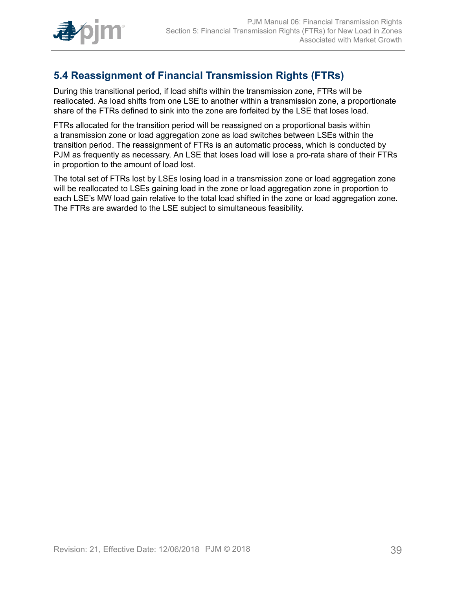

# <span id="page-38-0"></span>**5.4 Reassignment of Financial Transmission Rights (FTRs)**

During this transitional period, if load shifts within the transmission zone, FTRs will be reallocated. As load shifts from one LSE to another within a transmission zone, a proportionate share of the FTRs defined to sink into the zone are forfeited by the LSE that loses load.

FTRs allocated for the transition period will be reassigned on a proportional basis within a transmission zone or load aggregation zone as load switches between LSEs within the transition period. The reassignment of FTRs is an automatic process, which is conducted by PJM as frequently as necessary. An LSE that loses load will lose a pro-rata share of their FTRs in proportion to the amount of load lost.

The total set of FTRs lost by LSEs losing load in a transmission zone or load aggregation zone will be reallocated to LSEs gaining load in the zone or load aggregation zone in proportion to each LSE's MW load gain relative to the total load shifted in the zone or load aggregation zone. The FTRs are awarded to the LSE subject to simultaneous feasibility.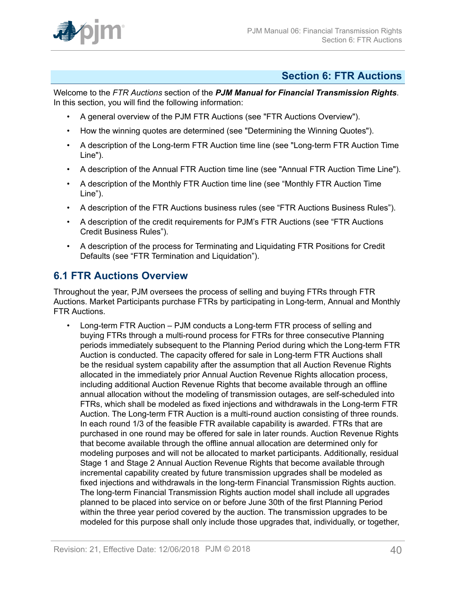

### <span id="page-39-0"></span>**Section 6: FTR Auctions**

Welcome to the *FTR Auctions* section of the *PJM Manual for Financial Transmission Rights*. In this section, you will find the following information:

- A general overview of the PJM FTR Auctions (see "FTR Auctions Overview").
- How the winning quotes are determined (see "Determining the Winning Quotes").
- A description of the Long-term FTR Auction time line (see "Long-term FTR Auction Time Line").
- A description of the Annual FTR Auction time line (see "Annual FTR Auction Time Line").
- A description of the Monthly FTR Auction time line (see "Monthly FTR Auction Time Line").
- A description of the FTR Auctions business rules (see "FTR Auctions Business Rules").
- A description of the credit requirements for PJM's FTR Auctions (see "FTR Auctions Credit Business Rules").
- A description of the process for Terminating and Liquidating FTR Positions for Credit Defaults (see "FTR Termination and Liquidation").

## <span id="page-39-1"></span>**6.1 FTR Auctions Overview**

Throughout the year, PJM oversees the process of selling and buying FTRs through FTR Auctions. Market Participants purchase FTRs by participating in Long-term, Annual and Monthly FTR Auctions.

• Long-term FTR Auction – PJM conducts a Long-term FTR process of selling and buying FTRs through a multi-round process for FTRs for three consecutive Planning periods immediately subsequent to the Planning Period during which the Long-term FTR Auction is conducted. The capacity offered for sale in Long-term FTR Auctions shall be the residual system capability after the assumption that all Auction Revenue Rights allocated in the immediately prior Annual Auction Revenue Rights allocation process, including additional Auction Revenue Rights that become available through an offline annual allocation without the modeling of transmission outages, are self-scheduled into FTRs, which shall be modeled as fixed injections and withdrawals in the Long-term FTR Auction. The Long-term FTR Auction is a multi-round auction consisting of three rounds. In each round 1/3 of the feasible FTR available capability is awarded. FTRs that are purchased in one round may be offered for sale in later rounds. Auction Revenue Rights that become available through the offline annual allocation are determined only for modeling purposes and will not be allocated to market participants. Additionally, residual Stage 1 and Stage 2 Annual Auction Revenue Rights that become available through incremental capability created by future transmission upgrades shall be modeled as fixed injections and withdrawals in the long-term Financial Transmission Rights auction. The long-term Financial Transmission Rights auction model shall include all upgrades planned to be placed into service on or before June 30th of the first Planning Period within the three year period covered by the auction. The transmission upgrades to be modeled for this purpose shall only include those upgrades that, individually, or together,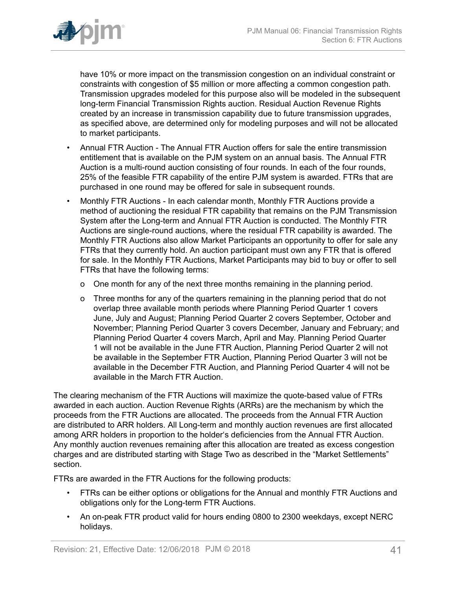

have 10% or more impact on the transmission congestion on an individual constraint or constraints with congestion of \$5 million or more affecting a common congestion path. Transmission upgrades modeled for this purpose also will be modeled in the subsequent long-term Financial Transmission Rights auction. Residual Auction Revenue Rights created by an increase in transmission capability due to future transmission upgrades, as specified above, are determined only for modeling purposes and will not be allocated to market participants.

- Annual FTR Auction The Annual FTR Auction offers for sale the entire transmission entitlement that is available on the PJM system on an annual basis. The Annual FTR Auction is a multi-round auction consisting of four rounds. In each of the four rounds, 25% of the feasible FTR capability of the entire PJM system is awarded. FTRs that are purchased in one round may be offered for sale in subsequent rounds.
- Monthly FTR Auctions In each calendar month, Monthly FTR Auctions provide a method of auctioning the residual FTR capability that remains on the PJM Transmission System after the Long-term and Annual FTR Auction is conducted. The Monthly FTR Auctions are single-round auctions, where the residual FTR capability is awarded. The Monthly FTR Auctions also allow Market Participants an opportunity to offer for sale any FTRs that they currently hold. An auction participant must own any FTR that is offered for sale. In the Monthly FTR Auctions, Market Participants may bid to buy or offer to sell FTRs that have the following terms:
	- o One month for any of the next three months remaining in the planning period.
	- o Three months for any of the quarters remaining in the planning period that do not overlap three available month periods where Planning Period Quarter 1 covers June, July and August; Planning Period Quarter 2 covers September, October and November; Planning Period Quarter 3 covers December, January and February; and Planning Period Quarter 4 covers March, April and May. Planning Period Quarter 1 will not be available in the June FTR Auction, Planning Period Quarter 2 will not be available in the September FTR Auction, Planning Period Quarter 3 will not be available in the December FTR Auction, and Planning Period Quarter 4 will not be available in the March FTR Auction.

The clearing mechanism of the FTR Auctions will maximize the quote-based value of FTRs awarded in each auction. Auction Revenue Rights (ARRs) are the mechanism by which the proceeds from the FTR Auctions are allocated. The proceeds from the Annual FTR Auction are distributed to ARR holders. All Long-term and monthly auction revenues are first allocated among ARR holders in proportion to the holder's deficiencies from the Annual FTR Auction. Any monthly auction revenues remaining after this allocation are treated as excess congestion charges and are distributed starting with Stage Two as described in the "Market Settlements" section.

FTRs are awarded in the FTR Auctions for the following products:

- FTRs can be either options or obligations for the Annual and monthly FTR Auctions and obligations only for the Long-term FTR Auctions.
- An on-peak FTR product valid for hours ending 0800 to 2300 weekdays, except NERC holidays.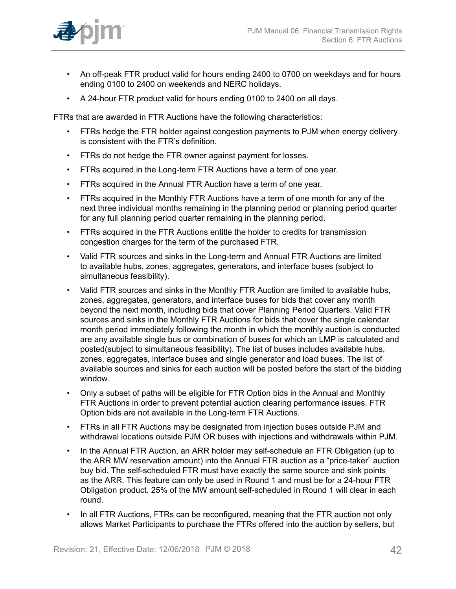

- An off-peak FTR product valid for hours ending 2400 to 0700 on weekdays and for hours ending 0100 to 2400 on weekends and NERC holidays.
- A 24-hour FTR product valid for hours ending 0100 to 2400 on all days.

FTRs that are awarded in FTR Auctions have the following characteristics:

- FTRs hedge the FTR holder against congestion payments to PJM when energy delivery is consistent with the FTR's definition.
- FTRs do not hedge the FTR owner against payment for losses.
- FTRs acquired in the Long-term FTR Auctions have a term of one year.
- FTRs acquired in the Annual FTR Auction have a term of one year.
- FTRs acquired in the Monthly FTR Auctions have a term of one month for any of the next three individual months remaining in the planning period or planning period quarter for any full planning period quarter remaining in the planning period.
- FTRs acquired in the FTR Auctions entitle the holder to credits for transmission congestion charges for the term of the purchased FTR.
- Valid FTR sources and sinks in the Long-term and Annual FTR Auctions are limited to available hubs, zones, aggregates, generators, and interface buses (subject to simultaneous feasibility).
- Valid FTR sources and sinks in the Monthly FTR Auction are limited to available hubs, zones, aggregates, generators, and interface buses for bids that cover any month beyond the next month, including bids that cover Planning Period Quarters. Valid FTR sources and sinks in the Monthly FTR Auctions for bids that cover the single calendar month period immediately following the month in which the monthly auction is conducted are any available single bus or combination of buses for which an LMP is calculated and posted(subject to simultaneous feasibility). The list of buses includes available hubs, zones, aggregates, interface buses and single generator and load buses. The list of available sources and sinks for each auction will be posted before the start of the bidding window.
- Only a subset of paths will be eligible for FTR Option bids in the Annual and Monthly FTR Auctions in order to prevent potential auction clearing performance issues. FTR Option bids are not available in the Long-term FTR Auctions.
- FTRs in all FTR Auctions may be designated from injection buses outside PJM and withdrawal locations outside PJM OR buses with injections and withdrawals within PJM.
- In the Annual FTR Auction, an ARR holder may self-schedule an FTR Obligation (up to the ARR MW reservation amount) into the Annual FTR auction as a "price-taker" auction buy bid. The self-scheduled FTR must have exactly the same source and sink points as the ARR. This feature can only be used in Round 1 and must be for a 24-hour FTR Obligation product. 25% of the MW amount self-scheduled in Round 1 will clear in each round.
- In all FTR Auctions, FTRs can be reconfigured, meaning that the FTR auction not only allows Market Participants to purchase the FTRs offered into the auction by sellers, but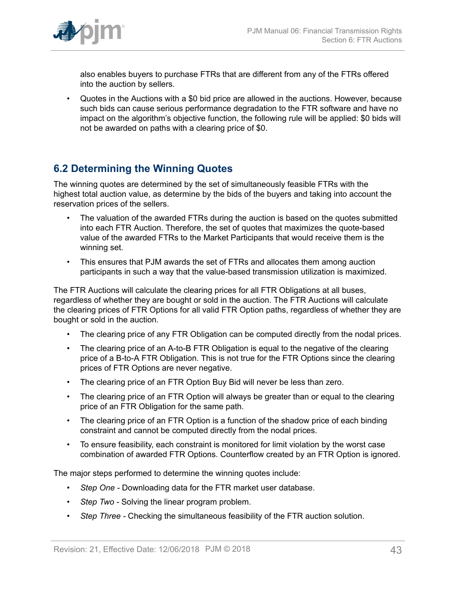

also enables buyers to purchase FTRs that are different from any of the FTRs offered into the auction by sellers.

• Quotes in the Auctions with a \$0 bid price are allowed in the auctions. However, because such bids can cause serious performance degradation to the FTR software and have no impact on the algorithm's objective function, the following rule will be applied: \$0 bids will not be awarded on paths with a clearing price of \$0.

# <span id="page-42-1"></span><span id="page-42-0"></span>**6.2 Determining the Winning Quotes**

The winning quotes are determined by the set of simultaneously feasible FTRs with the highest total auction value, as determine by the bids of the buyers and taking into account the reservation prices of the sellers.

- The valuation of the awarded FTRs during the auction is based on the quotes submitted into each FTR Auction. Therefore, the set of quotes that maximizes the quote-based value of the awarded FTRs to the Market Participants that would receive them is the winning set.
- This ensures that PJM awards the set of FTRs and allocates them among auction participants in such a way that the value-based transmission utilization is maximized.

The FTR Auctions will calculate the clearing prices for all FTR Obligations at all buses, regardless of whether they are bought or sold in the auction. The FTR Auctions will calculate the clearing prices of FTR Options for all valid FTR Option paths, regardless of whether they are bought or sold in the auction.

- The clearing price of any FTR Obligation can be computed directly from the nodal prices.
- The clearing price of an A-to-B FTR Obligation is equal to the negative of the clearing price of a B-to-A FTR Obligation. This is not true for the FTR Options since the clearing prices of FTR Options are never negative.
- The clearing price of an FTR Option Buy Bid will never be less than zero.
- The clearing price of an FTR Option will always be greater than or equal to the clearing price of an FTR Obligation for the same path.
- The clearing price of an FTR Option is a function of the shadow price of each binding constraint and cannot be computed directly from the nodal prices.
- To ensure feasibility, each constraint is monitored for limit violation by the worst case combination of awarded FTR Options. Counterflow created by an FTR Option is ignored.

The major steps performed to determine the winning quotes include:

- *Step One* Downloading data for the FTR market user database.
- *Step Two -* Solving the linear program problem.
- *Step Three* Checking the simultaneous feasibility of the FTR auction solution.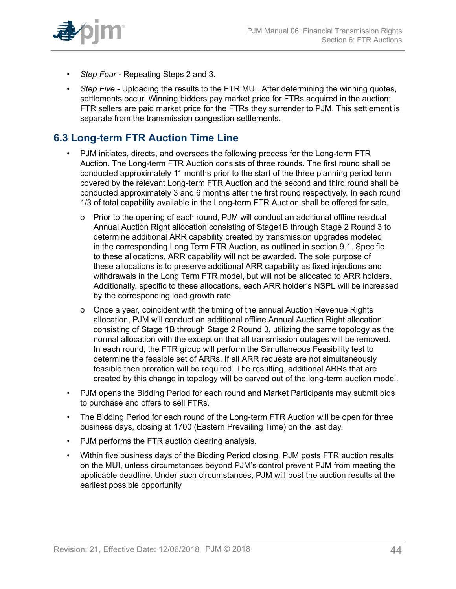

- *Step Four* Repeating Steps 2 and 3.
- *Step Five Uploading the results to the FTR MUI. After determining the winning quotes,* settlements occur. Winning bidders pay market price for FTRs acquired in the auction; FTR sellers are paid market price for the FTRs they surrender to PJM. This settlement is separate from the transmission congestion settlements.

# <span id="page-43-0"></span>**6.3 Long-term FTR Auction Time Line**

- PJM initiates, directs, and oversees the following process for the Long-term FTR Auction. The Long-term FTR Auction consists of three rounds. The first round shall be conducted approximately 11 months prior to the start of the three planning period term covered by the relevant Long-term FTR Auction and the second and third round shall be conducted approximately 3 and 6 months after the first round respectively. In each round 1/3 of total capability available in the Long-term FTR Auction shall be offered for sale.
	- o Prior to the opening of each round, PJM will conduct an additional offline residual Annual Auction Right allocation consisting of Stage1B through Stage 2 Round 3 to determine additional ARR capability created by transmission upgrades modeled in the corresponding Long Term FTR Auction, as outlined in section 9.1. Specific to these allocations, ARR capability will not be awarded. The sole purpose of these allocations is to preserve additional ARR capability as fixed injections and withdrawals in the Long Term FTR model, but will not be allocated to ARR holders. Additionally, specific to these allocations, each ARR holder's NSPL will be increased by the corresponding load growth rate.
	- o Once a year, coincident with the timing of the annual Auction Revenue Rights allocation, PJM will conduct an additional offline Annual Auction Right allocation consisting of Stage 1B through Stage 2 Round 3, utilizing the same topology as the normal allocation with the exception that all transmission outages will be removed. In each round, the FTR group will perform the Simultaneous Feasibility test to determine the feasible set of ARRs. If all ARR requests are not simultaneously feasible then proration will be required. The resulting, additional ARRs that are created by this change in topology will be carved out of the long-term auction model.
- PJM opens the Bidding Period for each round and Market Participants may submit bids to purchase and offers to sell FTRs.
- The Bidding Period for each round of the Long-term FTR Auction will be open for three business days, closing at 1700 (Eastern Prevailing Time) on the last day.
- PJM performs the FTR auction clearing analysis.
- Within five business days of the Bidding Period closing, PJM posts FTR auction results on the MUI, unless circumstances beyond PJM's control prevent PJM from meeting the applicable deadline. Under such circumstances, PJM will post the auction results at the earliest possible opportunity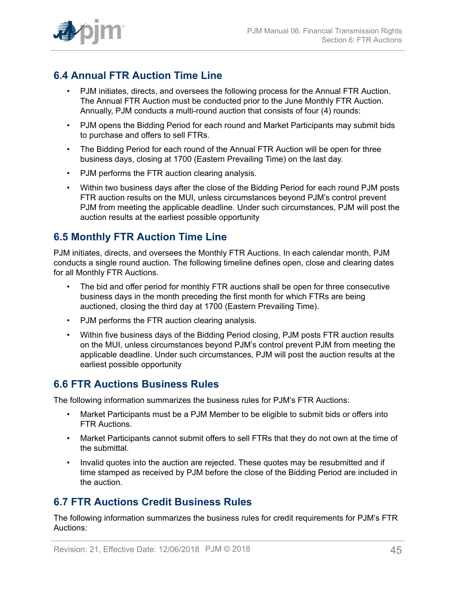

# <span id="page-44-0"></span>**6.4 Annual FTR Auction Time Line**

- PJM initiates, directs, and oversees the following process for the Annual FTR Auction. The Annual FTR Auction must be conducted prior to the June Monthly FTR Auction. Annually, PJM conducts a multi-round auction that consists of four (4) rounds:
- PJM opens the Bidding Period for each round and Market Participants may submit bids to purchase and offers to sell FTRs.
- The Bidding Period for each round of the Annual FTR Auction will be open for three business days, closing at 1700 (Eastern Prevailing Time) on the last day.
- PJM performs the FTR auction clearing analysis.
- Within two business days after the close of the Bidding Period for each round PJM posts FTR auction results on the MUI, unless circumstances beyond PJM's control prevent PJM from meeting the applicable deadline. Under such circumstances, PJM will post the auction results at the earliest possible opportunity

## <span id="page-44-1"></span>**6.5 Monthly FTR Auction Time Line**

PJM initiates, directs, and oversees the Monthly FTR Auctions. In each calendar month, PJM conducts a single round auction. The following timeline defines open, close and clearing dates for all Monthly FTR Auctions.

- The bid and offer period for monthly FTR auctions shall be open for three consecutive business days in the month preceding the first month for which FTRs are being auctioned, closing the third day at 1700 (Eastern Prevailing Time).
- PJM performs the FTR auction clearing analysis.
- Within five business days of the Bidding Period closing, PJM posts FTR auction results on the MUI, unless circumstances beyond PJM's control prevent PJM from meeting the applicable deadline. Under such circumstances, PJM will post the auction results at the earliest possible opportunity

### <span id="page-44-2"></span>**6.6 FTR Auctions Business Rules**

The following information summarizes the business rules for PJM's FTR Auctions:

- Market Participants must be a PJM Member to be eligible to submit bids or offers into FTR Auctions.
- Market Participants cannot submit offers to sell FTRs that they do not own at the time of the submittal.
- Invalid quotes into the auction are rejected. These quotes may be resubmitted and if time stamped as received by PJM before the close of the Bidding Period are included in the auction.

### <span id="page-44-3"></span>**6.7 FTR Auctions Credit Business Rules**

The following information summarizes the business rules for credit requirements for PJM's FTR Auctions: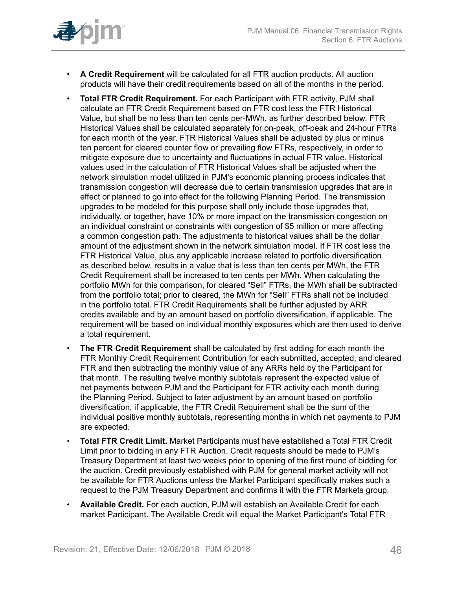

- **A Credit Requirement** will be calculated for all FTR auction products. All auction products will have their credit requirements based on all of the months in the period.
- **Total FTR Credit Requirement.** For each Participant with FTR activity, PJM shall calculate an FTR Credit Requirement based on FTR cost less the FTR Historical Value, but shall be no less than ten cents per-MWh, as further described below. FTR Historical Values shall be calculated separately for on-peak, off-peak and 24-hour FTRs for each month of the year. FTR Historical Values shall be adjusted by plus or minus ten percent for cleared counter flow or prevailing flow FTRs, respectively, in order to mitigate exposure due to uncertainty and fluctuations in actual FTR value. Historical values used in the calculation of FTR Historical Values shall be adjusted when the network simulation model utilized in PJM's economic planning process indicates that transmission congestion will decrease due to certain transmission upgrades that are in effect or planned to go into effect for the following Planning Period. The transmission upgrades to be modeled for this purpose shall only include those upgrades that, individually, or together, have 10% or more impact on the transmission congestion on an individual constraint or constraints with congestion of \$5 million or more affecting a common congestion path. The adjustments to historical values shall be the dollar amount of the adjustment shown in the network simulation model. If FTR cost less the FTR Historical Value, plus any applicable increase related to portfolio diversification as described below, results in a value that is less than ten cents per MWh, the FTR Credit Requirement shall be increased to ten cents per MWh. When calculating the portfolio MWh for this comparison, for cleared "Sell" FTRs, the MWh shall be subtracted from the portfolio total; prior to cleared, the MWh for "Sell" FTRs shall not be included in the portfolio total. FTR Credit Requirements shall be further adjusted by ARR credits available and by an amount based on portfolio diversification, if applicable. The requirement will be based on individual monthly exposures which are then used to derive a total requirement.
- **The FTR Credit Requirement** shall be calculated by first adding for each month the FTR Monthly Credit Requirement Contribution for each submitted, accepted, and cleared FTR and then subtracting the monthly value of any ARRs held by the Participant for that month. The resulting twelve monthly subtotals represent the expected value of net payments between PJM and the Participant for FTR activity each month during the Planning Period. Subject to later adjustment by an amount based on portfolio diversification, if applicable, the FTR Credit Requirement shall be the sum of the individual positive monthly subtotals, representing months in which net payments to PJM are expected.
- **Total FTR Credit Limit.** Market Participants must have established a Total FTR Credit Limit prior to bidding in any FTR Auction. Credit requests should be made to PJM's Treasury Department at least two weeks prior to opening of the first round of bidding for the auction. Credit previously established with PJM for general market activity will not be available for FTR Auctions unless the Market Participant specifically makes such a request to the PJM Treasury Department and confirms it with the FTR Markets group.
- **Available Credit.** For each auction, PJM will establish an Available Credit for each market Participant. The Available Credit will equal the Market Participant's Total FTR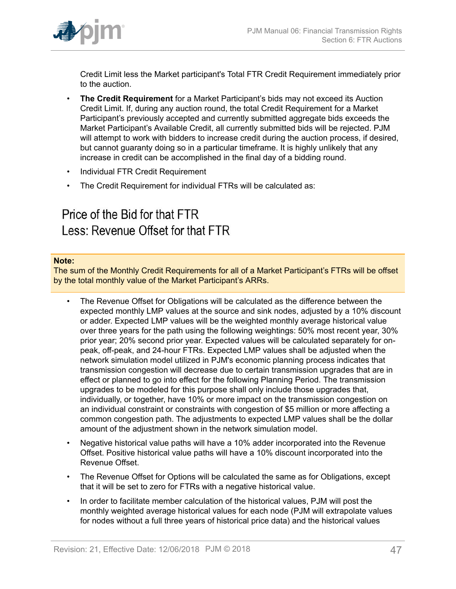

Credit Limit less the Market participant's Total FTR Credit Requirement immediately prior to the auction.

- **The Credit Requirement** for a Market Participant's bids may not exceed its Auction Credit Limit. If, during any auction round, the total Credit Requirement for a Market Participant's previously accepted and currently submitted aggregate bids exceeds the Market Participant's Available Credit, all currently submitted bids will be rejected. PJM will attempt to work with bidders to increase credit during the auction process, if desired, but cannot guaranty doing so in a particular timeframe. It is highly unlikely that any increase in credit can be accomplished in the final day of a bidding round.
- Individual FTR Credit Requirement
- The Credit Requirement for individual FTRs will be calculated as:

# Price of the Bid for that FTR Less: Revenue Offset for that FTR

#### **Note:**

The sum of the Monthly Credit Requirements for all of a Market Participant's FTRs will be offset by the total monthly value of the Market Participant's ARRs.

- The Revenue Offset for Obligations will be calculated as the difference between the expected monthly LMP values at the source and sink nodes, adjusted by a 10% discount or adder. Expected LMP values will be the weighted monthly average historical value over three years for the path using the following weightings: 50% most recent year, 30% prior year; 20% second prior year. Expected values will be calculated separately for onpeak, off-peak, and 24-hour FTRs. Expected LMP values shall be adjusted when the network simulation model utilized in PJM's economic planning process indicates that transmission congestion will decrease due to certain transmission upgrades that are in effect or planned to go into effect for the following Planning Period. The transmission upgrades to be modeled for this purpose shall only include those upgrades that, individually, or together, have 10% or more impact on the transmission congestion on an individual constraint or constraints with congestion of \$5 million or more affecting a common congestion path. The adjustments to expected LMP values shall be the dollar amount of the adjustment shown in the network simulation model.
- Negative historical value paths will have a 10% adder incorporated into the Revenue Offset. Positive historical value paths will have a 10% discount incorporated into the Revenue Offset.
- The Revenue Offset for Options will be calculated the same as for Obligations, except that it will be set to zero for FTRs with a negative historical value.
- In order to facilitate member calculation of the historical values, PJM will post the monthly weighted average historical values for each node (PJM will extrapolate values for nodes without a full three years of historical price data) and the historical values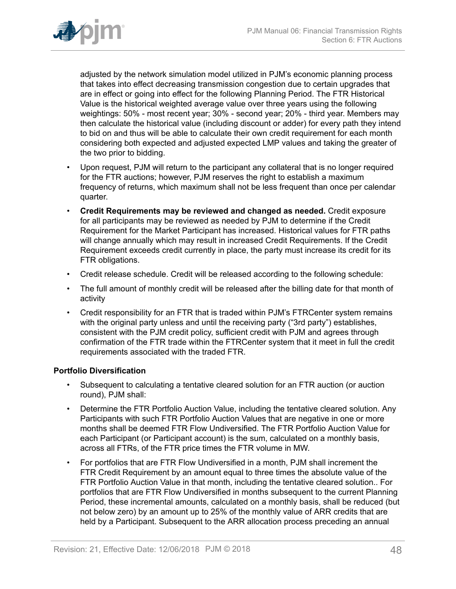

adjusted by the network simulation model utilized in PJM's economic planning process that takes into effect decreasing transmission congestion due to certain upgrades that are in effect or going into effect for the following Planning Period. The FTR Historical Value is the historical weighted average value over three years using the following weightings: 50% - most recent year; 30% - second year; 20% - third year. Members may then calculate the historical value (including discount or adder) for every path they intend to bid on and thus will be able to calculate their own credit requirement for each month considering both expected and adjusted expected LMP values and taking the greater of the two prior to bidding.

- Upon request, PJM will return to the participant any collateral that is no longer required for the FTR auctions; however, PJM reserves the right to establish a maximum frequency of returns, which maximum shall not be less frequent than once per calendar quarter.
- **Credit Requirements may be reviewed and changed as needed.** Credit exposure for all participants may be reviewed as needed by PJM to determine if the Credit Requirement for the Market Participant has increased. Historical values for FTR paths will change annually which may result in increased Credit Requirements. If the Credit Requirement exceeds credit currently in place, the party must increase its credit for its FTR obligations.
- Credit release schedule. Credit will be released according to the following schedule:
- The full amount of monthly credit will be released after the billing date for that month of activity
- Credit responsibility for an FTR that is traded within PJM's FTRCenter system remains with the original party unless and until the receiving party ("3rd party") establishes, consistent with the PJM credit policy, sufficient credit with PJM and agrees through confirmation of the FTR trade within the FTRCenter system that it meet in full the credit requirements associated with the traded FTR.

#### **Portfolio Diversification**

- Subsequent to calculating a tentative cleared solution for an FTR auction (or auction round), PJM shall:
- Determine the FTR Portfolio Auction Value, including the tentative cleared solution. Any Participants with such FTR Portfolio Auction Values that are negative in one or more months shall be deemed FTR Flow Undiversified. The FTR Portfolio Auction Value for each Participant (or Participant account) is the sum, calculated on a monthly basis, across all FTRs, of the FTR price times the FTR volume in MW.
- For portfolios that are FTR Flow Undiversified in a month, PJM shall increment the FTR Credit Requirement by an amount equal to three times the absolute value of the FTR Portfolio Auction Value in that month, including the tentative cleared solution.. For portfolios that are FTR Flow Undiversified in months subsequent to the current Planning Period, these incremental amounts, calculated on a monthly basis, shall be reduced (but not below zero) by an amount up to 25% of the monthly value of ARR credits that are held by a Participant. Subsequent to the ARR allocation process preceding an annual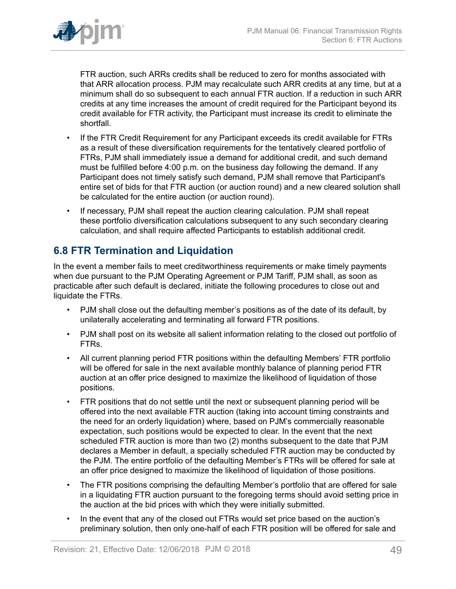

FTR auction, such ARRs credits shall be reduced to zero for months associated with that ARR allocation process. PJM may recalculate such ARR credits at any time, but at a minimum shall do so subsequent to each annual FTR auction. If a reduction in such ARR credits at any time increases the amount of credit required for the Participant beyond its credit available for FTR activity, the Participant must increase its credit to eliminate the shortfall.

- If the FTR Credit Requirement for any Participant exceeds its credit available for FTRs as a result of these diversification requirements for the tentatively cleared portfolio of FTRs, PJM shall immediately issue a demand for additional credit, and such demand must be fulfilled before 4:00 p.m. on the business day following the demand. If any Participant does not timely satisfy such demand, PJM shall remove that Participant's entire set of bids for that FTR auction (or auction round) and a new cleared solution shall be calculated for the entire auction (or auction round).
- If necessary, PJM shall repeat the auction clearing calculation. PJM shall repeat these portfolio diversification calculations subsequent to any such secondary clearing calculation, and shall require affected Participants to establish additional credit.

# <span id="page-48-0"></span>**6.8 FTR Termination and Liquidation**

In the event a member fails to meet creditworthiness requirements or make timely payments when due pursuant to the PJM Operating Agreement or PJM Tariff, PJM shall, as soon as practicable after such default is declared, initiate the following procedures to close out and liquidate the FTRs.

- PJM shall close out the defaulting member's positions as of the date of its default, by unilaterally accelerating and terminating all forward FTR positions.
- PJM shall post on its website all salient information relating to the closed out portfolio of FTRs.
- All current planning period FTR positions within the defaulting Members' FTR portfolio will be offered for sale in the next available monthly balance of planning period FTR auction at an offer price designed to maximize the likelihood of liquidation of those positions.
- FTR positions that do not settle until the next or subsequent planning period will be offered into the next available FTR auction (taking into account timing constraints and the need for an orderly liquidation) where, based on PJM's commercially reasonable expectation, such positions would be expected to clear. In the event that the next scheduled FTR auction is more than two (2) months subsequent to the date that PJM declares a Member in default, a specially scheduled FTR auction may be conducted by the PJM. The entire portfolio of the defaulting Member's FTRs will be offered for sale at an offer price designed to maximize the likelihood of liquidation of those positions.
- The FTR positions comprising the defaulting Member's portfolio that are offered for sale in a liquidating FTR auction pursuant to the foregoing terms should avoid setting price in the auction at the bid prices with which they were initially submitted.
- In the event that any of the closed out FTRs would set price based on the auction's preliminary solution, then only one-half of each FTR position will be offered for sale and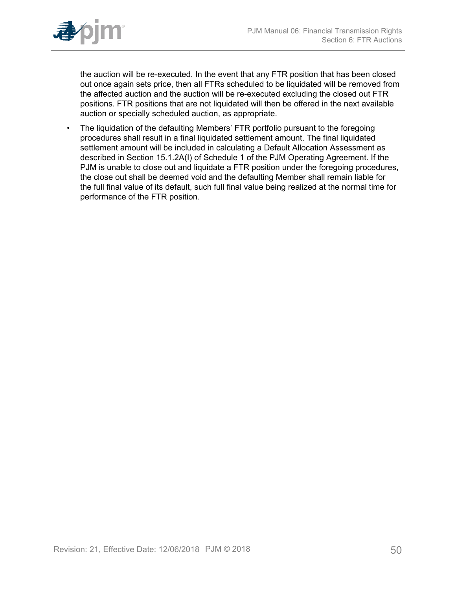

the auction will be re-executed. In the event that any FTR position that has been closed out once again sets price, then all FTRs scheduled to be liquidated will be removed from the affected auction and the auction will be re-executed excluding the closed out FTR positions. FTR positions that are not liquidated will then be offered in the next available auction or specially scheduled auction, as appropriate.

• The liquidation of the defaulting Members' FTR portfolio pursuant to the foregoing procedures shall result in a final liquidated settlement amount. The final liquidated settlement amount will be included in calculating a Default Allocation Assessment as described in Section 15.1.2A(I) of Schedule 1 of the PJM Operating Agreement. If the PJM is unable to close out and liquidate a FTR position under the foregoing procedures, the close out shall be deemed void and the defaulting Member shall remain liable for the full final value of its default, such full final value being realized at the normal time for performance of the FTR position.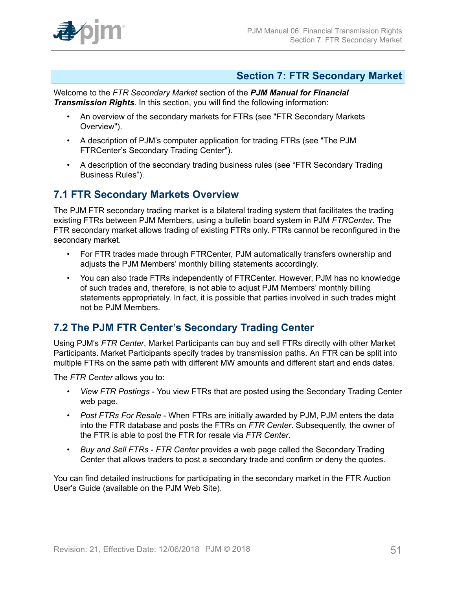

### <span id="page-50-0"></span>**Section 7: FTR Secondary Market**

Welcome to the *FTR Secondary Market* section of the *PJM Manual for Financial Transmission Rights*. In this section, you will find the following information:

- An overview of the secondary markets for FTRs (see "FTR Secondary Markets Overview").
- A description of PJM's computer application for trading FTRs (see "The PJM FTRCenter's Secondary Trading Center").
- A description of the secondary trading business rules (see "FTR Secondary Trading Business Rules").

### <span id="page-50-1"></span>**7.1 FTR Secondary Markets Overview**

The PJM FTR secondary trading market is a bilateral trading system that facilitates the trading existing FTRs between PJM Members, using a bulletin board system in PJM *FTRCenter*. The FTR secondary market allows trading of existing FTRs only. FTRs cannot be reconfigured in the secondary market.

- For FTR trades made through FTRCenter, PJM automatically transfers ownership and adjusts the PJM Members' monthly billing statements accordingly.
- You can also trade FTRs independently of FTRCenter. However, PJM has no knowledge of such trades and, therefore, is not able to adjust PJM Members' monthly billing statements appropriately. In fact, it is possible that parties involved in such trades might not be PJM Members.

# <span id="page-50-2"></span>**7.2 The PJM FTR Center's Secondary Trading Center**

Using PJM's *FTR Center*, Market Participants can buy and sell FTRs directly with other Market Participants. Market Participants specify trades by transmission paths. An FTR can be split into multiple FTRs on the same path with different MW amounts and different start and ends dates.

The *FTR Center* allows you to:

- *View FTR Postings* You view FTRs that are posted using the Secondary Trading Center web page.
- *Post FTRs For Resale* When FTRs are initially awarded by PJM, PJM enters the data into the FTR database and posts the FTRs on *FTR Center*. Subsequently, the owner of the FTR is able to post the FTR for resale via *FTR Center*.
- *Buy and Sell FTRs FTR Center* provides a web page called the Secondary Trading Center that allows traders to post a secondary trade and confirm or deny the quotes.

You can find detailed instructions for participating in the secondary market in the FTR Auction User's Guide (available on the PJM Web Site).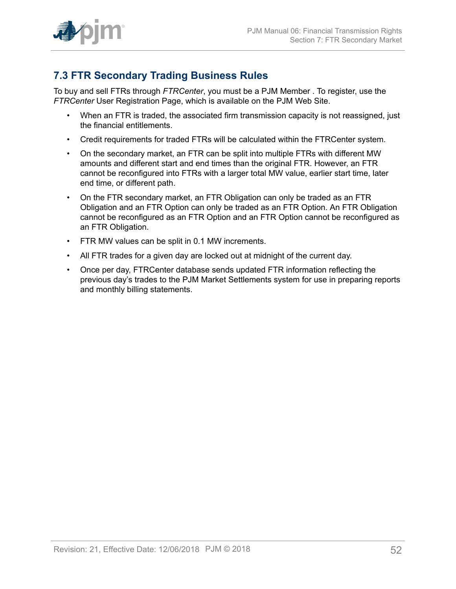

# <span id="page-51-0"></span>**7.3 FTR Secondary Trading Business Rules**

To buy and sell FTRs through *FTRCenter*, you must be a PJM Member . To register, use the *FTRCenter* User Registration Page, which is available on the PJM Web Site.

- When an FTR is traded, the associated firm transmission capacity is not reassigned, just the financial entitlements.
- Credit requirements for traded FTRs will be calculated within the FTRCenter system.
- On the secondary market, an FTR can be split into multiple FTRs with different MW amounts and different start and end times than the original FTR. However, an FTR cannot be reconfigured into FTRs with a larger total MW value, earlier start time, later end time, or different path.
- On the FTR secondary market, an FTR Obligation can only be traded as an FTR Obligation and an FTR Option can only be traded as an FTR Option. An FTR Obligation cannot be reconfigured as an FTR Option and an FTR Option cannot be reconfigured as an FTR Obligation.
- FTR MW values can be split in 0.1 MW increments.
- All FTR trades for a given day are locked out at midnight of the current day.
- Once per day, FTRCenter database sends updated FTR information reflecting the previous day's trades to the PJM Market Settlements system for use in preparing reports and monthly billing statements.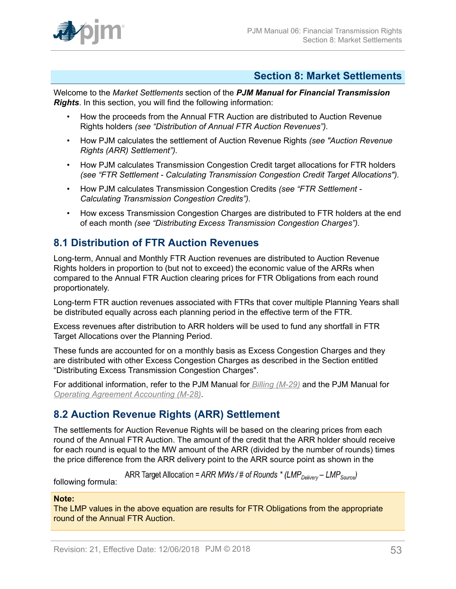

### <span id="page-52-0"></span>**Section 8: Market Settlements**

Welcome to the *Market Settlements* section of the *PJM Manual for Financial Transmission Rights*. In this section, you will find the following information:

- How the proceeds from the Annual FTR Auction are distributed to Auction Revenue Rights holders *(see "Distribution of Annual FTR Auction Revenues").*
- How PJM calculates the settlement of Auction Revenue Rights *(see "Auction Revenue Rights (ARR) Settlement").*
- How PJM calculates Transmission Congestion Credit target allocations for FTR holders *(see "FTR Settlement - Calculating Transmission Congestion Credit Target Allocations").*
- How PJM calculates Transmission Congestion Credits *(see "FTR Settlement - Calculating Transmission Congestion Credits").*
- How excess Transmission Congestion Charges are distributed to FTR holders at the end of each month *(see "Distributing Excess Transmission Congestion Charges").*

# <span id="page-52-1"></span>**8.1 Distribution of FTR Auction Revenues**

Long-term, Annual and Monthly FTR Auction revenues are distributed to Auction Revenue Rights holders in proportion to (but not to exceed) the economic value of the ARRs when compared to the Annual FTR Auction clearing prices for FTR Obligations from each round proportionately.

Long-term FTR auction revenues associated with FTRs that cover multiple Planning Years shall be distributed equally across each planning period in the effective term of the FTR.

Excess revenues after distribution to ARR holders will be used to fund any shortfall in FTR Target Allocations over the Planning Period.

These funds are accounted for on a monthly basis as Excess Congestion Charges and they are distributed with other Excess Congestion Charges as described in the Section entitled "Distributing Excess Transmission Congestion Charges".

For additional information, refer to the PJM Manual for *[Billing \(M-29\)](http://www.pjm.com/~/media/documents/manuals/m29.ashx)* and the PJM Manual for *[Operating Agreement Accounting \(M-28\)](http://www.pjm.com/~/media/documents/manuals/m28.ashx)*.

# <span id="page-52-2"></span>**8.2 Auction Revenue Rights (ARR) Settlement**

The settlements for Auction Revenue Rights will be based on the clearing prices from each round of the Annual FTR Auction. The amount of the credit that the ARR holder should receive for each round is equal to the MW amount of the ARR (divided by the number of rounds) times the price difference from the ARR delivery point to the ARR source point as shown in the

ARR Target Allocation = ARR MWs / # of Rounds \* (LMP<sub>Delivery</sub> – LMP<sub>Source</sub>)

following formula:

#### **Note:**

The LMP values in the above equation are results for FTR Obligations from the appropriate round of the Annual FTR Auction.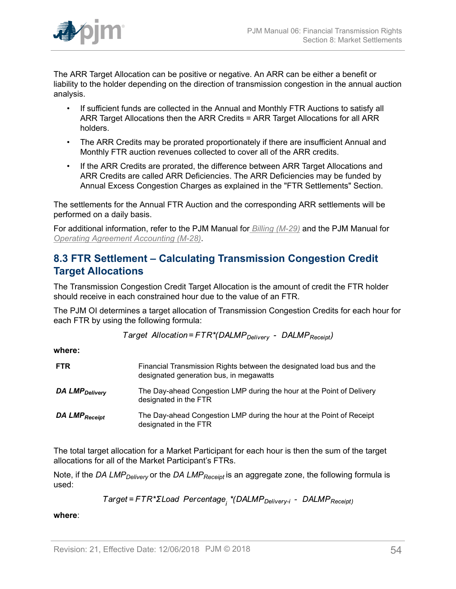

The ARR Target Allocation can be positive or negative. An ARR can be either a benefit or liability to the holder depending on the direction of transmission congestion in the annual auction analysis.

- If sufficient funds are collected in the Annual and Monthly FTR Auctions to satisfy all ARR Target Allocations then the ARR Credits = ARR Target Allocations for all ARR holders.
- The ARR Credits may be prorated proportionately if there are insufficient Annual and Monthly FTR auction revenues collected to cover all of the ARR credits.
- If the ARR Credits are prorated, the difference between ARR Target Allocations and ARR Credits are called ARR Deficiencies. The ARR Deficiencies may be funded by Annual Excess Congestion Charges as explained in the "FTR Settlements" Section.

The settlements for the Annual FTR Auction and the corresponding ARR settlements will be performed on a daily basis.

For additional information, refer to the PJM Manual for *[Billing \(M-29\)](http://www.pjm.com/~/media/documents/manuals/m29.ashx)* and the PJM Manual for *[Operating Agreement Accounting \(M-28\)](http://www.pjm.com/~/media/documents/manuals/m28.ashx)*.

## <span id="page-53-0"></span>**8.3 FTR Settlement – Calculating Transmission Congestion Credit Target Allocations**

The Transmission Congestion Credit Target Allocation is the amount of credit the FTR holder should receive in each constrained hour due to the value of an FTR.

The PJM OI determines a target allocation of Transmission Congestion Credits for each hour for each FTR by using the following formula:

Target Allocation=FTR\*(DALMP<sub>Deliverv</sub> - DALMP<sub>Receipt</sub>)

**where:**

| <b>FTR</b>                 | Financial Transmission Rights between the designated load bus and the<br>designated generation bus, in megawatts |
|----------------------------|------------------------------------------------------------------------------------------------------------------|
| DA LMP <sub>Delivery</sub> | The Day-ahead Congestion LMP during the hour at the Point of Delivery<br>designated in the FTR                   |
| DA LMP <sub>Receipt</sub>  | The Day-ahead Congestion LMP during the hour at the Point of Receipt<br>designated in the FTR                    |

The total target allocation for a Market Participant for each hour is then the sum of the target allocations for all of the Market Participant's FTRs.

Note, if the *DA LMPDelivery* or the *DA LMPReceipt* is an aggregate zone, the following formula is used:

Target=FTR\*ΣLoad Percentage<sub>;</sub> \*(DALMP<sub>Delivery-i</sub> - DALMP<sub>Receipt)</sub>

**where**: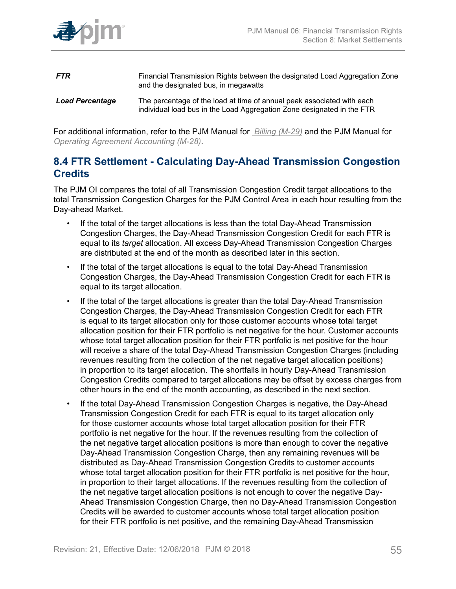

- **FTR** Financial Transmission Rights between the designated Load Aggregation Zone and the designated bus, in megawatts *Load Percentage* The percentage of the load at time of annual peak associated with each
	- individual load bus in the Load Aggregation Zone designated in the FTR

For additional information, refer to the PJM Manual for *[Billing \(M-29\)](http://www.pjm.com/~/media/documents/manuals/m29.ashx)* and the PJM Manual for *[Operating Agreement Accounting \(M-28\)](http://www.pjm.com/~/media/documents/manuals/m28.ashx)*.

### <span id="page-54-0"></span>**8.4 FTR Settlement - Calculating Day-Ahead Transmission Congestion Credits**

The PJM OI compares the total of all Transmission Congestion Credit target allocations to the total Transmission Congestion Charges for the PJM Control Area in each hour resulting from the Day-ahead Market.

- If the total of the target allocations is less than the total Day-Ahead Transmission Congestion Charges, the Day-Ahead Transmission Congestion Credit for each FTR is equal to its *target* allocation. All excess Day-Ahead Transmission Congestion Charges are distributed at the end of the month as described later in this section.
- If the total of the target allocations is equal to the total Day-Ahead Transmission Congestion Charges, the Day-Ahead Transmission Congestion Credit for each FTR is equal to its target allocation.
- If the total of the target allocations is greater than the total Day-Ahead Transmission Congestion Charges, the Day-Ahead Transmission Congestion Credit for each FTR is equal to its target allocation only for those customer accounts whose total target allocation position for their FTR portfolio is net negative for the hour. Customer accounts whose total target allocation position for their FTR portfolio is net positive for the hour will receive a share of the total Day-Ahead Transmission Congestion Charges (including revenues resulting from the collection of the net negative target allocation positions) in proportion to its target allocation. The shortfalls in hourly Day-Ahead Transmission Congestion Credits compared to target allocations may be offset by excess charges from other hours in the end of the month accounting, as described in the next section.
- If the total Day-Ahead Transmission Congestion Charges is negative, the Day-Ahead Transmission Congestion Credit for each FTR is equal to its target allocation only for those customer accounts whose total target allocation position for their FTR portfolio is net negative for the hour. If the revenues resulting from the collection of the net negative target allocation positions is more than enough to cover the negative Day-Ahead Transmission Congestion Charge, then any remaining revenues will be distributed as Day-Ahead Transmission Congestion Credits to customer accounts whose total target allocation position for their FTR portfolio is net positive for the hour, in proportion to their target allocations. If the revenues resulting from the collection of the net negative target allocation positions is not enough to cover the negative Day-Ahead Transmission Congestion Charge, then no Day-Ahead Transmission Congestion Credits will be awarded to customer accounts whose total target allocation position for their FTR portfolio is net positive, and the remaining Day-Ahead Transmission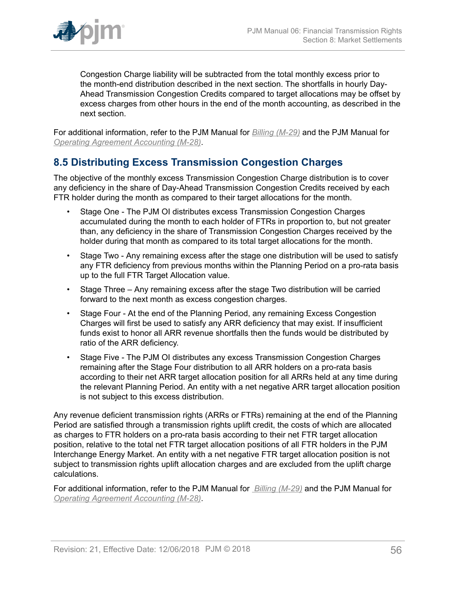

Congestion Charge liability will be subtracted from the total monthly excess prior to the month-end distribution described in the next section. The shortfalls in hourly Day-Ahead Transmission Congestion Credits compared to target allocations may be offset by excess charges from other hours in the end of the month accounting, as described in the next section.

For additional information, refer to the PJM Manual for *[Billing \(M-29\)](http://www.pjm.com/~/media/documents/manuals/m29.ashx)* and the PJM Manual for *[Operating Agreement Accounting \(M-28\)](http://www.pjm.com/~/media/documents/manuals/m28.ashx)*.

## <span id="page-55-0"></span>**8.5 Distributing Excess Transmission Congestion Charges**

The objective of the monthly excess Transmission Congestion Charge distribution is to cover any deficiency in the share of Day-Ahead Transmission Congestion Credits received by each FTR holder during the month as compared to their target allocations for the month.

- Stage One The PJM OI distributes excess Transmission Congestion Charges accumulated during the month to each holder of FTRs in proportion to, but not greater than, any deficiency in the share of Transmission Congestion Charges received by the holder during that month as compared to its total target allocations for the month.
- Stage Two Any remaining excess after the stage one distribution will be used to satisfy any FTR deficiency from previous months within the Planning Period on a pro-rata basis up to the full FTR Target Allocation value.
- Stage Three Any remaining excess after the stage Two distribution will be carried forward to the next month as excess congestion charges.
- Stage Four At the end of the Planning Period, any remaining Excess Congestion Charges will first be used to satisfy any ARR deficiency that may exist. If insufficient funds exist to honor all ARR revenue shortfalls then the funds would be distributed by ratio of the ARR deficiency.
- Stage Five The PJM OI distributes any excess Transmission Congestion Charges remaining after the Stage Four distribution to all ARR holders on a pro-rata basis according to their net ARR target allocation position for all ARRs held at any time during the relevant Planning Period. An entity with a net negative ARR target allocation position is not subject to this excess distribution.

Any revenue deficient transmission rights (ARRs or FTRs) remaining at the end of the Planning Period are satisfied through a transmission rights uplift credit, the costs of which are allocated as charges to FTR holders on a pro-rata basis according to their net FTR target allocation position, relative to the total net FTR target allocation positions of all FTR holders in the PJM Interchange Energy Market. An entity with a net negative FTR target allocation position is not subject to transmission rights uplift allocation charges and are excluded from the uplift charge calculations.

For additional information, refer to the PJM Manual for *[Billing \(M-29\)](http://www.pjm.com/~/media/documents/manuals/m29.ashx)* and the PJM Manual for *[Operating Agreement Accounting \(M-28\)](http://www.pjm.com/~/media/documents/manuals/m28.ashx)*.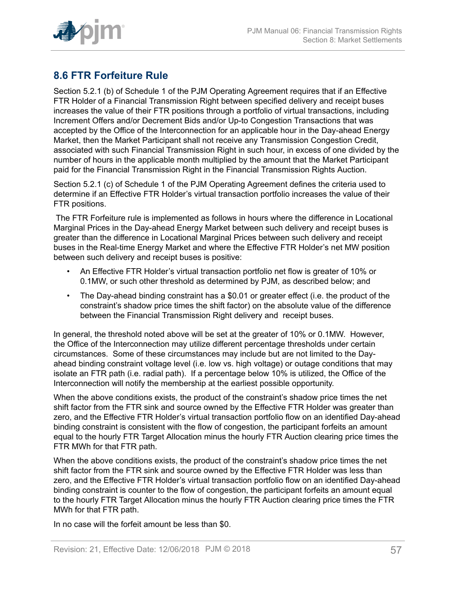

# <span id="page-56-0"></span>**8.6 FTR Forfeiture Rule**

Section 5.2.1 (b) of Schedule 1 of the PJM Operating Agreement requires that if an Effective FTR Holder of a Financial Transmission Right between specified delivery and receipt buses increases the value of their FTR positions through a portfolio of virtual transactions, including Increment Offers and/or Decrement Bids and/or Up-to Congestion Transactions that was accepted by the Office of the Interconnection for an applicable hour in the Day-ahead Energy Market, then the Market Participant shall not receive any Transmission Congestion Credit, associated with such Financial Transmission Right in such hour, in excess of one divided by the number of hours in the applicable month multiplied by the amount that the Market Participant paid for the Financial Transmission Right in the Financial Transmission Rights Auction.

Section 5.2.1 (c) of Schedule 1 of the PJM Operating Agreement defines the criteria used to determine if an Effective FTR Holder's virtual transaction portfolio increases the value of their FTR positions.

The FTR Forfeiture rule is implemented as follows in hours where the difference in Locational Marginal Prices in the Day-ahead Energy Market between such delivery and receipt buses is greater than the difference in Locational Marginal Prices between such delivery and receipt buses in the Real-time Energy Market and where the Effective FTR Holder's net MW position between such delivery and receipt buses is positive:

- An Effective FTR Holder's virtual transaction portfolio net flow is greater of 10% or 0.1MW, or such other threshold as determined by PJM, as described below; and
- The Day-ahead binding constraint has a \$0.01 or greater effect (i.e. the product of the constraint's shadow price times the shift factor) on the absolute value of the difference between the Financial Transmission Right delivery and receipt buses.

In general, the threshold noted above will be set at the greater of 10% or 0.1MW. However, the Office of the Interconnection may utilize different percentage thresholds under certain circumstances. Some of these circumstances may include but are not limited to the Dayahead binding constraint voltage level (i.e. low vs. high voltage) or outage conditions that may isolate an FTR path (i.e. radial path). If a percentage below 10% is utilized, the Office of the Interconnection will notify the membership at the earliest possible opportunity.

When the above conditions exists, the product of the constraint's shadow price times the net shift factor from the FTR sink and source owned by the Effective FTR Holder was greater than zero, and the Effective FTR Holder's virtual transaction portfolio flow on an identified Day-ahead binding constraint is consistent with the flow of congestion, the participant forfeits an amount equal to the hourly FTR Target Allocation minus the hourly FTR Auction clearing price times the FTR MWh for that FTR path.

When the above conditions exists, the product of the constraint's shadow price times the net shift factor from the FTR sink and source owned by the Effective FTR Holder was less than zero, and the Effective FTR Holder's virtual transaction portfolio flow on an identified Day-ahead binding constraint is counter to the flow of congestion, the participant forfeits an amount equal to the hourly FTR Target Allocation minus the hourly FTR Auction clearing price times the FTR MWh for that FTR path.

In no case will the forfeit amount be less than \$0.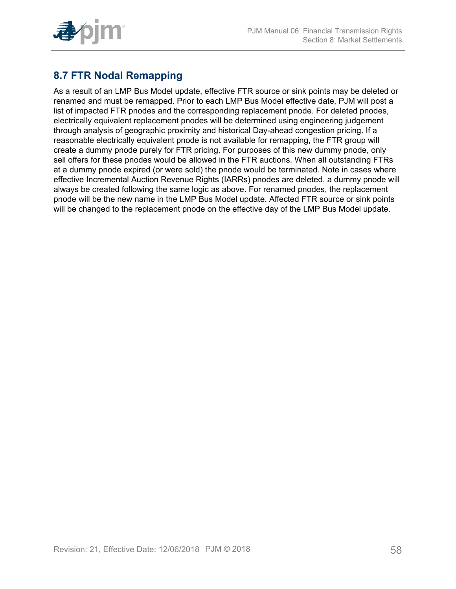

# <span id="page-57-0"></span>**8.7 FTR Nodal Remapping**

As a result of an LMP Bus Model update, effective FTR source or sink points may be deleted or renamed and must be remapped. Prior to each LMP Bus Model effective date, PJM will post a list of impacted FTR pnodes and the corresponding replacement pnode. For deleted pnodes, electrically equivalent replacement pnodes will be determined using engineering judgement through analysis of geographic proximity and historical Day-ahead congestion pricing. If a reasonable electrically equivalent pnode is not available for remapping, the FTR group will create a dummy pnode purely for FTR pricing. For purposes of this new dummy pnode, only sell offers for these pnodes would be allowed in the FTR auctions. When all outstanding FTRs at a dummy pnode expired (or were sold) the pnode would be terminated. Note in cases where effective Incremental Auction Revenue Rights (IARRs) pnodes are deleted, a dummy pnode will always be created following the same logic as above. For renamed pnodes, the replacement pnode will be the new name in the LMP Bus Model update. Affected FTR source or sink points will be changed to the replacement pnode on the effective day of the LMP Bus Model update.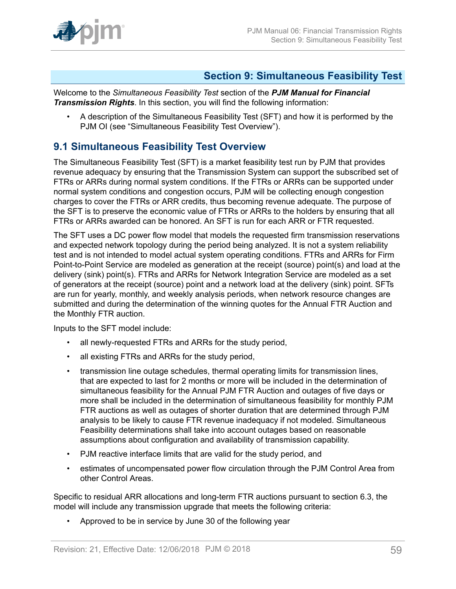

### <span id="page-58-0"></span>**Section 9: Simultaneous Feasibility Test**

Welcome to the *Simultaneous Feasibility Test* section of the *PJM Manual for Financial Transmission Rights*. In this section, you will find the following information:

• A description of the Simultaneous Feasibility Test (SFT) and how it is performed by the PJM OI (see "Simultaneous Feasibility Test Overview").

## <span id="page-58-1"></span>**9.1 Simultaneous Feasibility Test Overview**

The Simultaneous Feasibility Test (SFT) is a market feasibility test run by PJM that provides revenue adequacy by ensuring that the Transmission System can support the subscribed set of FTRs or ARRs during normal system conditions. If the FTRs or ARRs can be supported under normal system conditions and congestion occurs, PJM will be collecting enough congestion charges to cover the FTRs or ARR credits, thus becoming revenue adequate. The purpose of the SFT is to preserve the economic value of FTRs or ARRs to the holders by ensuring that all FTRs or ARRs awarded can be honored. An SFT is run for each ARR or FTR requested.

The SFT uses a DC power flow model that models the requested firm transmission reservations and expected network topology during the period being analyzed. It is not a system reliability test and is not intended to model actual system operating conditions. FTRs and ARRs for Firm Point-to-Point Service are modeled as generation at the receipt (source) point(s) and load at the delivery (sink) point(s). FTRs and ARRs for Network Integration Service are modeled as a set of generators at the receipt (source) point and a network load at the delivery (sink) point. SFTs are run for yearly, monthly, and weekly analysis periods, when network resource changes are submitted and during the determination of the winning quotes for the Annual FTR Auction and the Monthly FTR auction.

Inputs to the SFT model include:

- all newly-requested FTRs and ARRs for the study period,
- all existing FTRs and ARRs for the study period,
- transmission line outage schedules, thermal operating limits for transmission lines, that are expected to last for 2 months or more will be included in the determination of simultaneous feasibility for the Annual PJM FTR Auction and outages of five days or more shall be included in the determination of simultaneous feasibility for monthly PJM FTR auctions as well as outages of shorter duration that are determined through PJM analysis to be likely to cause FTR revenue inadequacy if not modeled. Simultaneous Feasibility determinations shall take into account outages based on reasonable assumptions about configuration and availability of transmission capability.
- PJM reactive interface limits that are valid for the study period, and
- estimates of uncompensated power flow circulation through the PJM Control Area from other Control Areas.

Specific to residual ARR allocations and long-term FTR auctions pursuant to section 6.3, the model will include any transmission upgrade that meets the following criteria:

• Approved to be in service by June 30 of the following year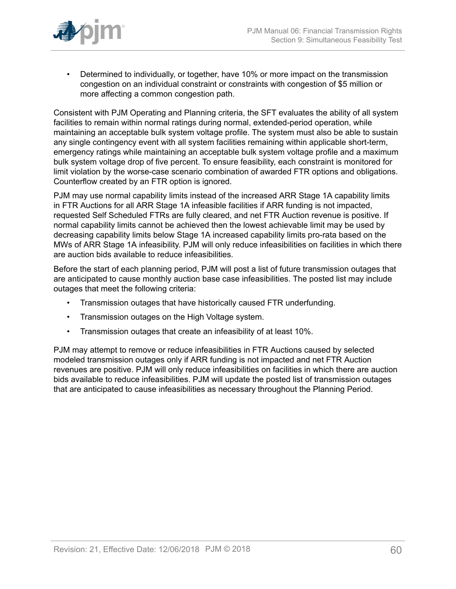

• Determined to individually, or together, have 10% or more impact on the transmission congestion on an individual constraint or constraints with congestion of \$5 million or more affecting a common congestion path.

Consistent with PJM Operating and Planning criteria, the SFT evaluates the ability of all system facilities to remain within normal ratings during normal, extended-period operation, while maintaining an acceptable bulk system voltage profile. The system must also be able to sustain any single contingency event with all system facilities remaining within applicable short-term, emergency ratings while maintaining an acceptable bulk system voltage profile and a maximum bulk system voltage drop of five percent. To ensure feasibility, each constraint is monitored for limit violation by the worse-case scenario combination of awarded FTR options and obligations. Counterflow created by an FTR option is ignored.

PJM may use normal capability limits instead of the increased ARR Stage 1A capability limits in FTR Auctions for all ARR Stage 1A infeasible facilities if ARR funding is not impacted, requested Self Scheduled FTRs are fully cleared, and net FTR Auction revenue is positive. If normal capability limits cannot be achieved then the lowest achievable limit may be used by decreasing capability limits below Stage 1A increased capability limits pro-rata based on the MWs of ARR Stage 1A infeasibility. PJM will only reduce infeasibilities on facilities in which there are auction bids available to reduce infeasibilities.

Before the start of each planning period, PJM will post a list of future transmission outages that are anticipated to cause monthly auction base case infeasibilities. The posted list may include outages that meet the following criteria:

- Transmission outages that have historically caused FTR underfunding.
- Transmission outages on the High Voltage system.
- Transmission outages that create an infeasibility of at least 10%.

PJM may attempt to remove or reduce infeasibilities in FTR Auctions caused by selected modeled transmission outages only if ARR funding is not impacted and net FTR Auction revenues are positive. PJM will only reduce infeasibilities on facilities in which there are auction bids available to reduce infeasibilities. PJM will update the posted list of transmission outages that are anticipated to cause infeasibilities as necessary throughout the Planning Period.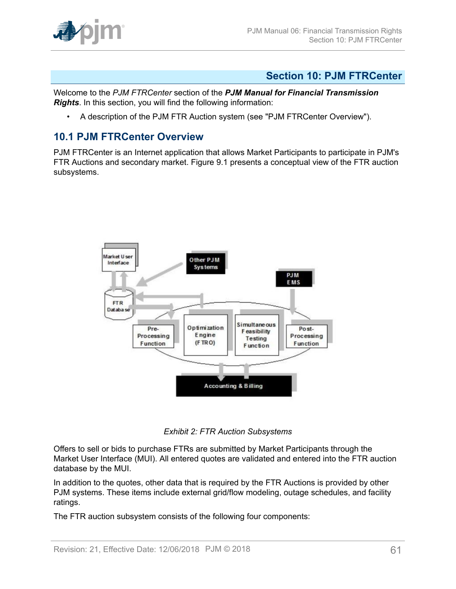

## <span id="page-60-0"></span>**Section 10: PJM FTRCenter**

Welcome to the *PJM FTRCenter* section of the *PJM Manual for Financial Transmission Rights*. In this section, you will find the following information:

• A description of the PJM FTR Auction system (see "PJM FTRCenter Overview").

### <span id="page-60-1"></span>**10.1 PJM FTRCenter Overview**

<span id="page-60-2"></span>PJM FTRCenter is an Internet application that allows Market Participants to participate in PJM's FTR Auctions and secondary market. Figure 9.1 presents a conceptual view of the FTR auction subsystems.



*Exhibit 2: FTR Auction Subsystems*

Offers to sell or bids to purchase FTRs are submitted by Market Participants through the Market User Interface (MUI). All entered quotes are validated and entered into the FTR auction database by the MUI.

In addition to the quotes, other data that is required by the FTR Auctions is provided by other PJM systems. These items include external grid/flow modeling, outage schedules, and facility ratings.

The FTR auction subsystem consists of the following four components: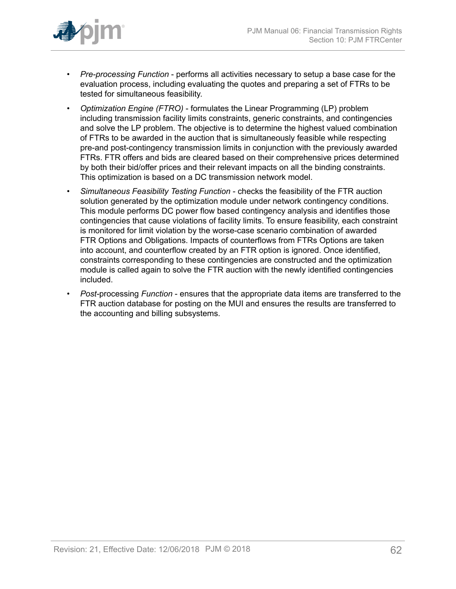

- *Pre-processing Function* performs all activities necessary to setup a base case for the evaluation process, including evaluating the quotes and preparing a set of FTRs to be tested for simultaneous feasibility.
- *Optimization Engine (FTRO)* formulates the Linear Programming (LP) problem including transmission facility limits constraints, generic constraints, and contingencies and solve the LP problem. The objective is to determine the highest valued combination of FTRs to be awarded in the auction that is simultaneously feasible while respecting pre-and post-contingency transmission limits in conjunction with the previously awarded FTRs. FTR offers and bids are cleared based on their comprehensive prices determined by both their bid/offer prices and their relevant impacts on all the binding constraints. This optimization is based on a DC transmission network model.
- *Simultaneous Feasibility Testing Function* checks the feasibility of the FTR auction solution generated by the optimization module under network contingency conditions. This module performs DC power flow based contingency analysis and identifies those contingencies that cause violations of facility limits. To ensure feasibility, each constraint is monitored for limit violation by the worse-case scenario combination of awarded FTR Options and Obligations. Impacts of counterflows from FTRs Options are taken into account, and counterflow created by an FTR option is ignored. Once identified, constraints corresponding to these contingencies are constructed and the optimization module is called again to solve the FTR auction with the newly identified contingencies included.
- *Post-*processing *Function* ensures that the appropriate data items are transferred to the FTR auction database for posting on the MUI and ensures the results are transferred to the accounting and billing subsystems.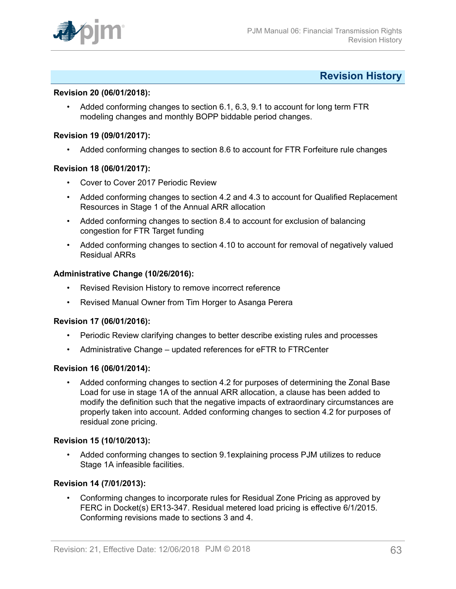

### <span id="page-62-0"></span>**Revision History**

#### **Revision 20 (06/01/2018):**

• Added conforming changes to section 6.1, 6.3, 9.1 to account for long term FTR modeling changes and monthly BOPP biddable period changes.

#### **Revision 19 (09/01/2017):**

• Added conforming changes to section 8.6 to account for FTR Forfeiture rule changes

#### **Revision 18 (06/01/2017):**

- Cover to Cover 2017 Periodic Review
- Added conforming changes to section 4.2 and 4.3 to account for Qualified Replacement Resources in Stage 1 of the Annual ARR allocation
- Added conforming changes to section 8.4 to account for exclusion of balancing congestion for FTR Target funding
- Added conforming changes to section 4.10 to account for removal of negatively valued Residual ARRs

#### **Administrative Change (10/26/2016):**

- Revised Revision History to remove incorrect reference
- Revised Manual Owner from Tim Horger to Asanga Perera

#### **Revision 17 (06/01/2016):**

- Periodic Review clarifying changes to better describe existing rules and processes
- Administrative Change updated references for eFTR to FTRCenter

#### **Revision 16 (06/01/2014):**

• Added conforming changes to section 4.2 for purposes of determining the Zonal Base Load for use in stage 1A of the annual ARR allocation, a clause has been added to modify the definition such that the negative impacts of extraordinary circumstances are properly taken into account. Added conforming changes to section 4.2 for purposes of residual zone pricing.

#### **Revision 15 (10/10/2013):**

• Added conforming changes to section 9.1explaining process PJM utilizes to reduce Stage 1A infeasible facilities.

#### **Revision 14 (7/01/2013):**

• Conforming changes to incorporate rules for Residual Zone Pricing as approved by FERC in Docket(s) ER13-347. Residual metered load pricing is effective 6/1/2015. Conforming revisions made to sections 3 and 4.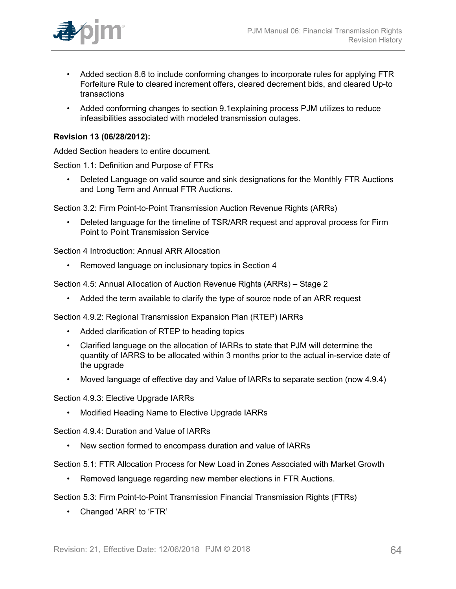

- Added section 8.6 to include conforming changes to incorporate rules for applying FTR Forfeiture Rule to cleared increment offers, cleared decrement bids, and cleared Up-to transactions
- Added conforming changes to section 9.1explaining process PJM utilizes to reduce infeasibilities associated with modeled transmission outages.

#### **Revision 13 (06/28/2012):**

Added Section headers to entire document.

Section 1.1: Definition and Purpose of FTRs

• Deleted Language on valid source and sink designations for the Monthly FTR Auctions and Long Term and Annual FTR Auctions.

Section 3.2: Firm Point-to-Point Transmission Auction Revenue Rights (ARRs)

• Deleted language for the timeline of TSR/ARR request and approval process for Firm Point to Point Transmission Service

Section 4 Introduction: Annual ARR Allocation

• Removed language on inclusionary topics in Section 4

Section 4.5: Annual Allocation of Auction Revenue Rights (ARRs) – Stage 2

• Added the term available to clarify the type of source node of an ARR request

Section 4.9.2: Regional Transmission Expansion Plan (RTEP) IARRs

- Added clarification of RTEP to heading topics
- Clarified language on the allocation of IARRs to state that PJM will determine the quantity of IARRS to be allocated within 3 months prior to the actual in-service date of the upgrade
- Moved language of effective day and Value of IARRs to separate section (now 4.9.4)

Section 4.9.3: Elective Upgrade IARRs

• Modified Heading Name to Elective Upgrade IARRs

Section 4.9.4: Duration and Value of IARRs

• New section formed to encompass duration and value of IARRs

Section 5.1: FTR Allocation Process for New Load in Zones Associated with Market Growth

• Removed language regarding new member elections in FTR Auctions.

Section 5.3: Firm Point-to-Point Transmission Financial Transmission Rights (FTRs)

• Changed 'ARR' to 'FTR'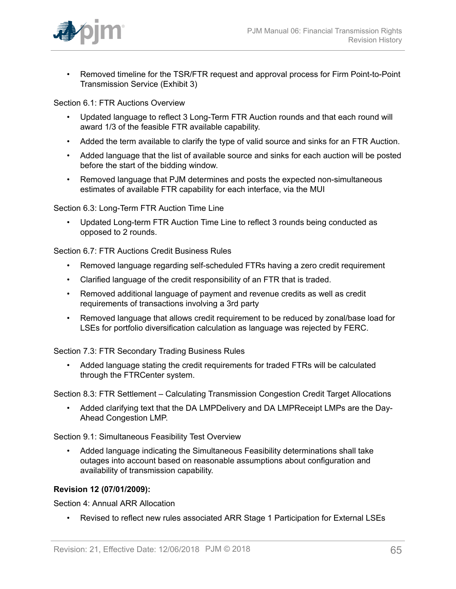

• Removed timeline for the TSR/FTR request and approval process for Firm Point-to-Point Transmission Service (Exhibit 3)

Section 6.1: FTR Auctions Overview

- Updated language to reflect 3 Long-Term FTR Auction rounds and that each round will award 1/3 of the feasible FTR available capability.
- Added the term available to clarify the type of valid source and sinks for an FTR Auction.
- Added language that the list of available source and sinks for each auction will be posted before the start of the bidding window.
- Removed language that PJM determines and posts the expected non-simultaneous estimates of available FTR capability for each interface, via the MUI

Section 6.3: Long-Term FTR Auction Time Line

• Updated Long-term FTR Auction Time Line to reflect 3 rounds being conducted as opposed to 2 rounds.

Section 6.7: FTR Auctions Credit Business Rules

- Removed language regarding self-scheduled FTRs having a zero credit requirement
- Clarified language of the credit responsibility of an FTR that is traded.
- Removed additional language of payment and revenue credits as well as credit requirements of transactions involving a 3rd party
- Removed language that allows credit requirement to be reduced by zonal/base load for LSEs for portfolio diversification calculation as language was rejected by FERC.

Section 7.3: FTR Secondary Trading Business Rules

• Added language stating the credit requirements for traded FTRs will be calculated through the FTRCenter system.

Section 8.3: FTR Settlement – Calculating Transmission Congestion Credit Target Allocations

• Added clarifying text that the DA LMPDelivery and DA LMPReceipt LMPs are the Day-Ahead Congestion LMP.

Section 9.1: Simultaneous Feasibility Test Overview

• Added language indicating the Simultaneous Feasibility determinations shall take outages into account based on reasonable assumptions about configuration and availability of transmission capability.

#### **Revision 12 (07/01/2009):**

Section 4: Annual ARR Allocation

• Revised to reflect new rules associated ARR Stage 1 Participation for External LSEs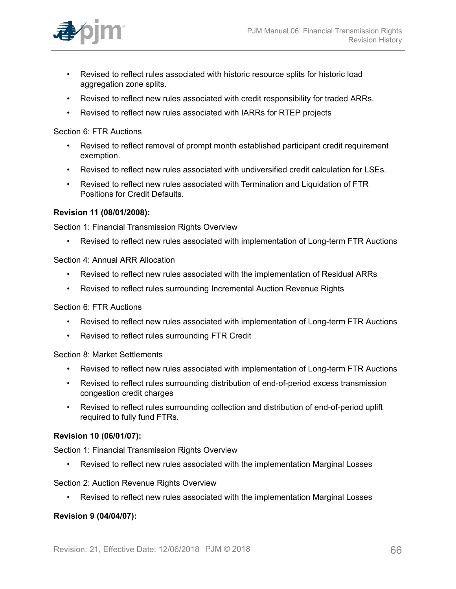

- Revised to reflect rules associated with historic resource splits for historic load aggregation zone splits.
- Revised to reflect new rules associated with credit responsibility for traded ARRs.
- Revised to reflect new rules associated with IARRs for RTEP projects

Section 6: FTR Auctions

- Revised to reflect removal of prompt month established participant credit requirement exemption.
- Revised to reflect new rules associated with undiversified credit calculation for LSEs.
- Revised to reflect new rules associated with Termination and Liquidation of FTR Positions for Credit Defaults.

#### **Revision 11 (08/01/2008):**

Section 1: Financial Transmission Rights Overview

• Revised to reflect new rules associated with implementation of Long-term FTR Auctions

Section 4: Annual ARR Allocation

- Revised to reflect new rules associated with the implementation of Residual ARRs
- Revised to reflect rules surrounding Incremental Auction Revenue Rights

Section 6: FTR Auctions

- Revised to reflect new rules associated with implementation of Long-term FTR Auctions
- Revised to reflect rules surrounding FTR Credit

Section 8: Market Settlements

- Revised to reflect new rules associated with implementation of Long-term FTR Auctions
- Revised to reflect rules surrounding distribution of end-of-period excess transmission congestion credit charges
- Revised to reflect rules surrounding collection and distribution of end-of-period uplift required to fully fund FTRs.

#### **Revision 10 (06/01/07):**

Section 1: Financial Transmission Rights Overview

• Revised to reflect new rules associated with the implementation Marginal Losses

Section 2: Auction Revenue Rights Overview

• Revised to reflect new rules associated with the implementation Marginal Losses

#### **Revision 9 (04/04/07):**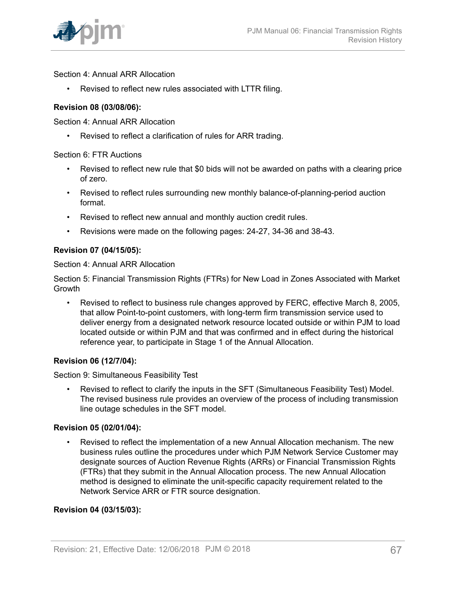Section 4: Annual ARR Allocation

• Revised to reflect new rules associated with LTTR filing.

#### **Revision 08 (03/08/06):**

Section 4: Annual ARR Allocation

• Revised to reflect a clarification of rules for ARR trading.

#### Section 6: FTR Auctions

- Revised to reflect new rule that \$0 bids will not be awarded on paths with a clearing price of zero.
- Revised to reflect rules surrounding new monthly balance-of-planning-period auction format.
- Revised to reflect new annual and monthly auction credit rules.
- Revisions were made on the following pages: 24-27, 34-36 and 38-43.

### **Revision 07 (04/15/05):**

Section 4: Annual ARR Allocation

Section 5: Financial Transmission Rights (FTRs) for New Load in Zones Associated with Market Growth

• Revised to reflect to business rule changes approved by FERC, effective March 8, 2005, that allow Point-to-point customers, with long-term firm transmission service used to deliver energy from a designated network resource located outside or within PJM to load located outside or within PJM and that was confirmed and in effect during the historical reference year, to participate in Stage 1 of the Annual Allocation.

#### **Revision 06 (12/7/04):**

Section 9: Simultaneous Feasibility Test

• Revised to reflect to clarify the inputs in the SFT (Simultaneous Feasibility Test) Model. The revised business rule provides an overview of the process of including transmission line outage schedules in the SFT model.

#### **Revision 05 (02/01/04):**

• Revised to reflect the implementation of a new Annual Allocation mechanism. The new business rules outline the procedures under which PJM Network Service Customer may designate sources of Auction Revenue Rights (ARRs) or Financial Transmission Rights (FTRs) that they submit in the Annual Allocation process. The new Annual Allocation method is designed to eliminate the unit-specific capacity requirement related to the Network Service ARR or FTR source designation.

#### **Revision 04 (03/15/03):**